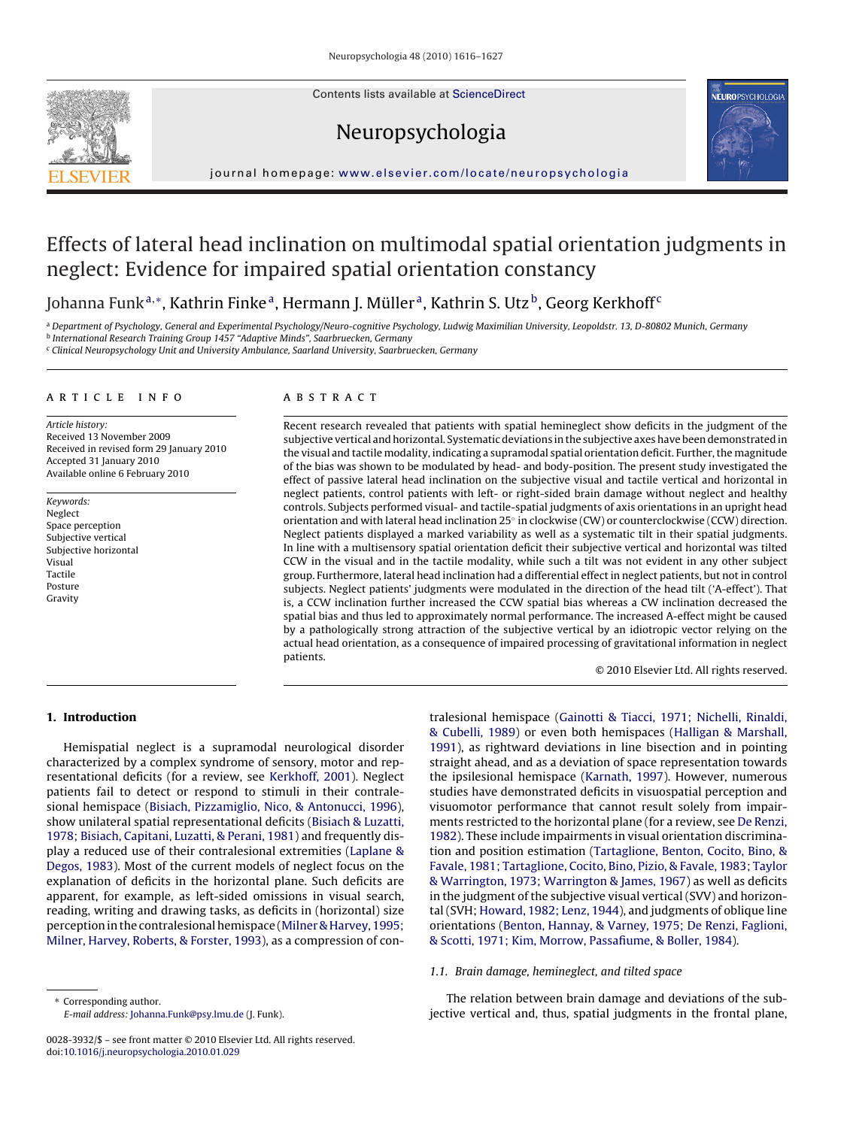Contents lists available at [ScienceDirect](http://www.sciencedirect.com/science/journal/00283932)







journal homepage: [www.elsevier.com/locate/neuropsychologia](http://www.elsevier.com/locate/neuropsychologia)

# Effects of lateral head inclination on multimodal spatial orientation judgments in neglect: Evidence for impaired spatial orientation constancy

# Johanna Funk<sup>a,∗</sup>, Kathrin Finke<sup>a</sup>, Hermann J. Müller<sup>a</sup>, Kathrin S. Utz<sup>b</sup>, Georg Kerkhoff<sup>c</sup>

a Department of Psychology, General and Experimental Psychology/Neuro-cognitive Psychology, Ludwig Maximilian University, Leopoldstr. 13, D-80802 Munich, Germany <sup>b</sup> International Research Training Group 1457 "Adaptive Minds", Saarbruecken, Germany

<sup>c</sup> Clinical Neuropsychology Unit and University Ambulance, Saarland University, Saarbruecken, Germany

## article info

Article history: Received 13 November 2009 Received in revised form 29 January 2010 Accepted 31 January 2010 Available online 6 February 2010

Keywords: Neglect Space perception Subjective vertical Subjective horizontal Visual Tactile Posture Gravity

# ABSTRACT

Recent research revealed that patients with spatial hemineglect show deficits in the judgment of the subjective vertical and horizontal. Systematic deviations in the subjective axes have been demonstrated in the visual and tactile modality, indicating a supramodal spatial orientation deficit. Further, the magnitude of the bias was shown to be modulated by head- and body-position. The present study investigated the effect of passive lateral head inclination on the subjective visual and tactile vertical and horizontal in neglect patients, control patients with left- or right-sided brain damage without neglect and healthy controls. Subjects performed visual- and tactile-spatial judgments of axis orientations in an upright head orientation and with lateral head inclination 25◦ in clockwise (CW) or counterclockwise (CCW) direction. Neglect patients displayed a marked variability as well as a systematic tilt in their spatial judgments. In line with a multisensory spatial orientation deficit their subjective vertical and horizontal was tilted CCW in the visual and in the tactile modality, while such a tilt was not evident in any other subject group. Furthermore, lateral head inclination had a differential effect in neglect patients, but not in control subjects. Neglect patients' judgments were modulated in the direction of the head tilt ('A-effect'). That is, a CCW inclination further increased the CCW spatial bias whereas a CW inclination decreased the spatial bias and thus led to approximately normal performance. The increased A-effect might be caused by a pathologically strong attraction of the subjective vertical by an idiotropic vector relying on the actual head orientation, as a consequence of impaired processing of gravitational information in neglect patients.

© 2010 Elsevier Ltd. All rights reserved.

# **1. Introduction**

Hemispatial neglect is a supramodal neurological disorder characterized by a complex syndrome of sensory, motor and representational deficits (for a review, see [Kerkhoff, 2001\).](#page-10-0) Neglect patients fail to detect or respond to stimuli in their contralesional hemispace [\(Bisiach, Pizzamiglio, Nico, & Antonucci, 1996\),](#page-10-0) show unilateral spatial representational deficits [\(Bisiach & Luzatti,](#page-10-0) [1978; Bisiach, Capitani, Luzatti, & Perani, 1981\)](#page-10-0) and frequently display a reduced use of their contralesional extremities [\(Laplane &](#page-10-0) [Degos, 1983\).](#page-10-0) Most of the current models of neglect focus on the explanation of deficits in the horizontal plane. Such deficits are apparent, for example, as left-sided omissions in visual search, reading, writing and drawing tasks, as deficits in (horizontal) size perception in the contralesional hemispace [\(Milner & Harvey, 1995;](#page-10-0) [Milner, Harvey, Roberts, & Forster, 1993\),](#page-10-0) as a compression of con-

Corresponding author. E-mail address: [Johanna.Funk@psy.lmu.de](mailto:Johanna.Funk@psy.lmu.de) (J. Funk). tralesional hemispace [\(Gainotti & Tiacci, 1971; Nichelli, Rinaldi,](#page-10-0) [& Cubelli, 1989\)](#page-10-0) or even both hemispaces [\(Halligan & Marshall,](#page-10-0) [1991\),](#page-10-0) as rightward deviations in line bisection and in pointing straight ahead, and as a deviation of space representation towards the ipsilesional hemispace ([Karnath, 1997\).](#page-10-0) However, numerous studies have demonstrated deficits in visuospatial perception and visuomotor performance that cannot result solely from impairments restricted to the horizontal plane (for a review, see [De Renzi,](#page-10-0) [1982\).](#page-10-0) These include impairments in visual orientation discrimination and position estimation ([Tartaglione, Benton, Cocito, Bino, &](#page-11-0) [Favale, 1981; Tartaglione, Cocito, Bino, Pizio, & Favale, 1983; Taylor](#page-11-0) [& Warrington, 1973; Warrington & James, 1967\) a](#page-11-0)s well as deficits in the judgment of the subjective visual vertical (SVV) and horizontal (SVH; [Howard, 1982; Lenz, 1944\),](#page-10-0) and judgments of oblique line orientations [\(Benton, Hannay, & Varney, 1975; De Renzi, Faglioni,](#page-10-0) [& Scotti, 1971; Kim, Morrow, Passafiume, & Boller, 1984\).](#page-10-0)

#### 1.1. Brain damage, hemineglect, and tilted space

The relation between brain damage and deviations of the subjective vertical and, thus, spatial judgments in the frontal plane,

<sup>0028-3932/\$ –</sup> see front matter © 2010 Elsevier Ltd. All rights reserved. doi:[10.1016/j.neuropsychologia.2010.01.029](dx.doi.org/10.1016/j.neuropsychologia.2010.01.029)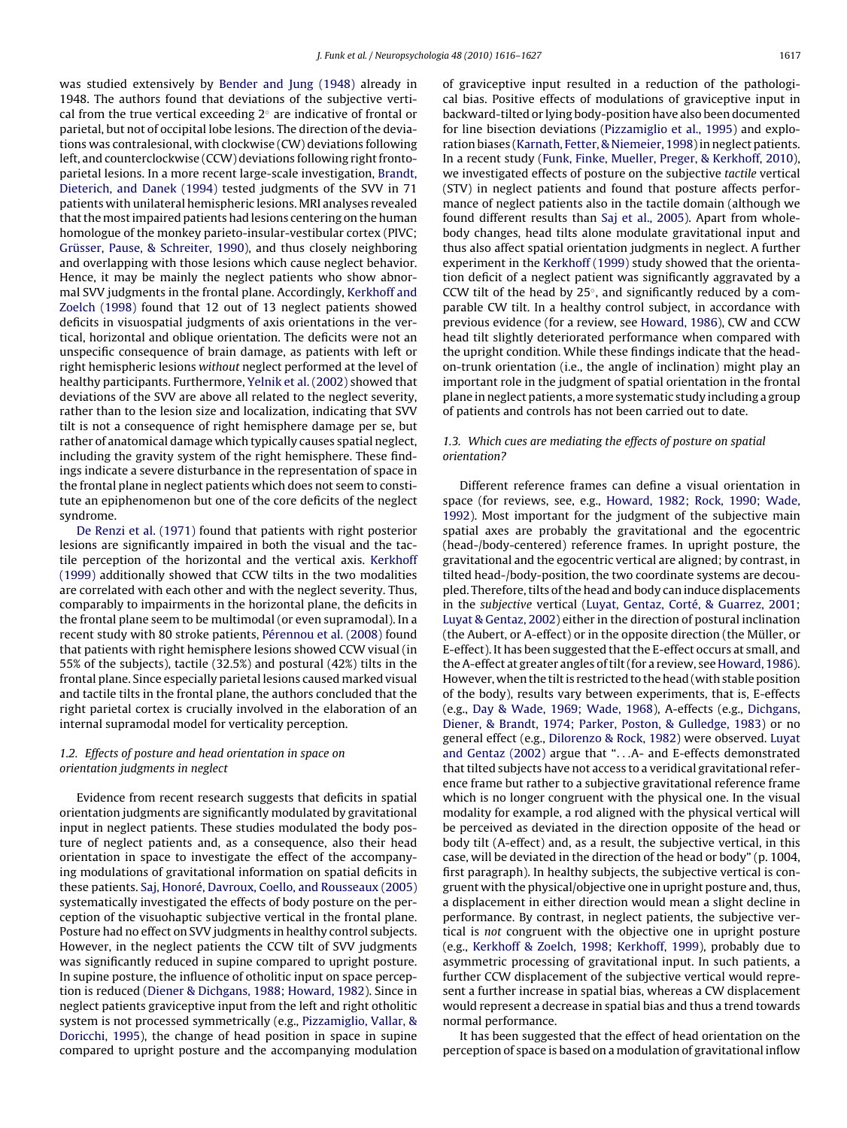was studied extensively by [Bender and Jung \(1948\)](#page-10-0) already in 1948. The authors found that deviations of the subjective vertical from the true vertical exceeding 2◦ are indicative of frontal or parietal, but not of occipital lobe lesions. The direction of the deviations was contralesional, with clockwise (CW) deviations following left, and counterclockwise (CCW) deviations following right frontoparietal lesions. In a more recent large-scale investigation, [Brandt,](#page-10-0) [Dieterich, and Danek \(1994\)](#page-10-0) tested judgments of the SVV in 71 patients with unilateral hemispheric lesions. MRI analyses revealed that the most impaired patients had lesions centering on the human homologue of the monkey parieto-insular-vestibular cortex (PIVC; [Grüsser, Pause, & Schreiter, 1990\),](#page-10-0) and thus closely neighboring and overlapping with those lesions which cause neglect behavior. Hence, it may be mainly the neglect patients who show abnormal SVV judgments in the frontal plane. Accordingly, [Kerkhoff and](#page-10-0) [Zoelch \(1998\)](#page-10-0) found that 12 out of 13 neglect patients showed deficits in visuospatial judgments of axis orientations in the vertical, horizontal and oblique orientation. The deficits were not an unspecific consequence of brain damage, as patients with left or right hemispheric lesions without neglect performed at the level of healthy participants. Furthermore, [Yelnik et al. \(2002\)](#page-11-0) showed that deviations of the SVV are above all related to the neglect severity, rather than to the lesion size and localization, indicating that SVV tilt is not a consequence of right hemisphere damage per se, but rather of anatomical damage which typically causes spatial neglect, including the gravity system of the right hemisphere. These findings indicate a severe disturbance in the representation of space in the frontal plane in neglect patients which does not seem to constitute an epiphenomenon but one of the core deficits of the neglect syndrome.

[De Renzi et al. \(1971\)](#page-10-0) found that patients with right posterior lesions are significantly impaired in both the visual and the tactile perception of the horizontal and the vertical axis. [Kerkhoff](#page-10-0) [\(1999\)](#page-10-0) additionally showed that CCW tilts in the two modalities are correlated with each other and with the neglect severity. Thus, comparably to impairments in the horizontal plane, the deficits in the frontal plane seem to be multimodal (or even supramodal). In a recent study with 80 stroke patients, [Pérennou et al. \(2008\)](#page-11-0) found that patients with right hemisphere lesions showed CCW visual (in 55% of the subjects), tactile (32.5%) and postural (42%) tilts in the frontal plane. Since especially parietal lesions caused marked visual and tactile tilts in the frontal plane, the authors concluded that the right parietal cortex is crucially involved in the elaboration of an internal supramodal model for verticality perception.

# 1.2. Effects of posture and head orientation in space on orientation judgments in neglect

Evidence from recent research suggests that deficits in spatial orientation judgments are significantly modulated by gravitational input in neglect patients. These studies modulated the body posture of neglect patients and, as a consequence, also their head orientation in space to investigate the effect of the accompanying modulations of gravitational information on spatial deficits in these patients. [Saj, Honoré, Davroux, Coello, and Rousseaux \(2005\)](#page-11-0) systematically investigated the effects of body posture on the perception of the visuohaptic subjective vertical in the frontal plane. Posture had no effect on SVV judgments in healthy control subjects. However, in the neglect patients the CCW tilt of SVV judgments was significantly reduced in supine compared to upright posture. In supine posture, the influence of otholitic input on space perception is reduced ([Diener & Dichgans, 1988; Howard, 1982\).](#page-10-0) Since in neglect patients graviceptive input from the left and right otholitic system is not processed symmetrically (e.g., [Pizzamiglio, Vallar, &](#page-11-0) [Doricchi, 1995\),](#page-11-0) the change of head position in space in supine compared to upright posture and the accompanying modulation of graviceptive input resulted in a reduction of the pathological bias. Positive effects of modulations of graviceptive input in backward-tilted or lying body-position have also been documented for line bisection deviations [\(Pizzamiglio et al., 1995\)](#page-11-0) and exploration biases [\(Karnath, Fetter, & Niemeier, 1998\) i](#page-10-0)n neglect patients. In a recent study ([Funk, Finke, Mueller, Preger, & Kerkhoff, 2010\),](#page-10-0) we investigated effects of posture on the subjective tactile vertical (STV) in neglect patients and found that posture affects performance of neglect patients also in the tactile domain (although we found different results than [Saj et al., 2005\).](#page-11-0) Apart from wholebody changes, head tilts alone modulate gravitational input and thus also affect spatial orientation judgments in neglect. A further experiment in the [Kerkhoff \(1999\)](#page-10-0) study showed that the orientation deficit of a neglect patient was significantly aggravated by a CCW tilt of the head by 25◦, and significantly reduced by a comparable CW tilt. In a healthy control subject, in accordance with previous evidence (for a review, see [Howard, 1986\),](#page-10-0) CW and CCW head tilt slightly deteriorated performance when compared with the upright condition. While these findings indicate that the headon-trunk orientation (i.e., the angle of inclination) might play an important role in the judgment of spatial orientation in the frontal plane in neglect patients, a more systematic study including a group of patients and controls has not been carried out to date.

# 1.3. Which cues are mediating the effects of posture on spatial orientation?

Different reference frames can define a visual orientation in space (for reviews, see, e.g., [Howard, 1982; Rock, 1990; Wade,](#page-10-0) [1992\).](#page-10-0) Most important for the judgment of the subjective main spatial axes are probably the gravitational and the egocentric (head-/body-centered) reference frames. In upright posture, the gravitational and the egocentric vertical are aligned; by contrast, in tilted head-/body-position, the two coordinate systems are decoupled. Therefore, tilts of the head and body can induce displacements in the subjective vertical [\(Luyat, Gentaz, Corté, & Guarrez, 2001;](#page-10-0) [Luyat & Gentaz, 2002\) e](#page-10-0)ither in the direction of postural inclination (the Aubert, or A-effect) or in the opposite direction (the Müller, or E-effect). It has been suggested that the E-effect occurs at small, and the A-effect at greater angles of tilt (for a review, see [Howard, 1986\).](#page-10-0) However, when the tilt is restricted to the head (with stable position of the body), results vary between experiments, that is, E-effects (e.g., [Day & Wade, 1969; Wade, 1968\),](#page-10-0) A-effects (e.g., [Dichgans,](#page-10-0) [Diener, & Brandt, 1974; Parker, Poston, & Gulledge, 1983\)](#page-10-0) or no general effect (e.g., [Dilorenzo & Rock, 1982\)](#page-10-0) were observed. [Luyat](#page-10-0) [and Gentaz \(2002\)](#page-10-0) argue that "...A- and E-effects demonstrated that tilted subjects have not access to a veridical gravitational reference frame but rather to a subjective gravitational reference frame which is no longer congruent with the physical one. In the visual modality for example, a rod aligned with the physical vertical will be perceived as deviated in the direction opposite of the head or body tilt (A-effect) and, as a result, the subjective vertical, in this case, will be deviated in the direction of the head or body" (p. 1004, first paragraph). In healthy subjects, the subjective vertical is congruent with the physical/objective one in upright posture and, thus, a displacement in either direction would mean a slight decline in performance. By contrast, in neglect patients, the subjective vertical is not congruent with the objective one in upright posture (e.g., [Kerkhoff & Zoelch, 1998; Kerkhoff, 1999\),](#page-10-0) probably due to asymmetric processing of gravitational input. In such patients, a further CCW displacement of the subjective vertical would represent a further increase in spatial bias, whereas a CW displacement would represent a decrease in spatial bias and thus a trend towards normal performance.

It has been suggested that the effect of head orientation on the perception of space is based on a modulation of gravitational inflow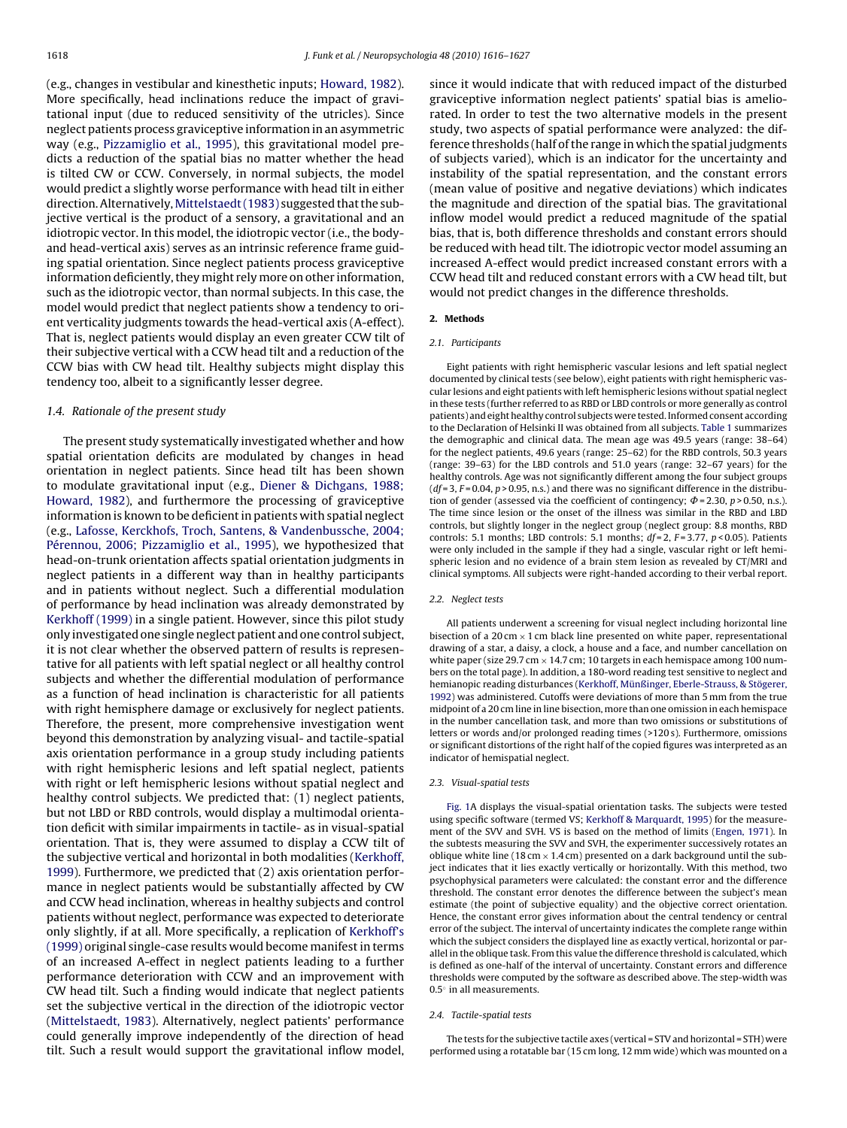(e.g., changes in vestibular and kinesthetic inputs; [Howard, 1982\).](#page-10-0) More specifically, head inclinations reduce the impact of gravitational input (due to reduced sensitivity of the utricles). Since neglect patients process graviceptive information in an asymmetric way (e.g., [Pizzamiglio et al., 1995\),](#page-11-0) this gravitational model predicts a reduction of the spatial bias no matter whether the head is tilted CW or CCW. Conversely, in normal subjects, the model would predict a slightly worse performance with head tilt in either direction. Alternatively, [Mittelstaedt \(1983\)](#page-10-0) suggested that the subjective vertical is the product of a sensory, a gravitational and an idiotropic vector. In this model, the idiotropic vector (i.e., the bodyand head-vertical axis) serves as an intrinsic reference frame guiding spatial orientation. Since neglect patients process graviceptive information deficiently, they might rely more on other information, such as the idiotropic vector, than normal subjects. In this case, the model would predict that neglect patients show a tendency to orient verticality judgments towards the head-vertical axis (A-effect). That is, neglect patients would display an even greater CCW tilt of their subjective vertical with a CCW head tilt and a reduction of the CCW bias with CW head tilt. Healthy subjects might display this tendency too, albeit to a significantly lesser degree.

#### 1.4. Rationale of the present study

The present study systematically investigated whether and how spatial orientation deficits are modulated by changes in head orientation in neglect patients. Since head tilt has been shown to modulate gravitational input (e.g., [Diener & Dichgans, 1988;](#page-10-0) [Howard, 1982\),](#page-10-0) and furthermore the processing of graviceptive information is known to be deficient in patients with spatial neglect (e.g., [Lafosse, Kerckhofs, Troch, Santens, & Vandenbussche, 2004;](#page-10-0) [Pérennou, 2006; Pizzamiglio et al., 1995\),](#page-10-0) we hypothesized that head-on-trunk orientation affects spatial orientation judgments in neglect patients in a different way than in healthy participants and in patients without neglect. Such a differential modulation of performance by head inclination was already demonstrated by [Kerkhoff \(1999\)](#page-10-0) in a single patient. However, since this pilot study only investigated one single neglect patient and one control subject, it is not clear whether the observed pattern of results is representative for all patients with left spatial neglect or all healthy control subjects and whether the differential modulation of performance as a function of head inclination is characteristic for all patients with right hemisphere damage or exclusively for neglect patients. Therefore, the present, more comprehensive investigation went beyond this demonstration by analyzing visual- and tactile-spatial axis orientation performance in a group study including patients with right hemispheric lesions and left spatial neglect, patients with right or left hemispheric lesions without spatial neglect and healthy control subjects. We predicted that: (1) neglect patients, but not LBD or RBD controls, would display a multimodal orientation deficit with similar impairments in tactile- as in visual-spatial orientation. That is, they were assumed to display a CCW tilt of the subjective vertical and horizontal in both modalities [\(Kerkhoff,](#page-10-0) [1999\).](#page-10-0) Furthermore, we predicted that (2) axis orientation performance in neglect patients would be substantially affected by CW and CCW head inclination, whereas in healthy subjects and control patients without neglect, performance was expected to deteriorate only slightly, if at all. More specifically, a replication of [Kerkhoff's](#page-10-0) [\(1999\)](#page-10-0) original single-case results would become manifest in terms of an increased A-effect in neglect patients leading to a further performance deterioration with CCW and an improvement with CW head tilt. Such a finding would indicate that neglect patients set the subjective vertical in the direction of the idiotropic vector ([Mittelstaedt, 1983\).](#page-10-0) Alternatively, neglect patients' performance could generally improve independently of the direction of head tilt. Such a result would support the gravitational inflow model, since it would indicate that with reduced impact of the disturbed graviceptive information neglect patients' spatial bias is ameliorated. In order to test the two alternative models in the present study, two aspects of spatial performance were analyzed: the difference thresholds (half of the range in which the spatial judgments of subjects varied), which is an indicator for the uncertainty and instability of the spatial representation, and the constant errors (mean value of positive and negative deviations) which indicates the magnitude and direction of the spatial bias. The gravitational inflow model would predict a reduced magnitude of the spatial bias, that is, both difference thresholds and constant errors should be reduced with head tilt. The idiotropic vector model assuming an increased A-effect would predict increased constant errors with a CCW head tilt and reduced constant errors with a CW head tilt, but would not predict changes in the difference thresholds.

#### **2. Methods**

#### 2.1. Participants

Eight patients with right hemispheric vascular lesions and left spatial neglect documented by clinical tests (see below), eight patients with right hemispheric vascular lesions and eight patients with left hemispheric lesions without spatial neglect in these tests (further referred to as RBD or LBD controls or more generally as control patients) and eight healthy control subjects were tested. Informed consent according to the Declaration of Helsinki II was obtained from all subjects. [Table 1](#page-3-0) summarizes the demographic and clinical data. The mean age was 49.5 years (range: 38–64) for the neglect patients, 49.6 years (range: 25–62) for the RBD controls, 50.3 years (range: 39–63) for the LBD controls and 51.0 years (range: 32–67 years) for the healthy controls. Age was not significantly different among the four subject groups  $(df=3, F=0.04, p>0.95, n.s.)$  and there was no significant difference in the distribution of gender (assessed via the coefficient of contingency;  $\Phi$  = 2.30, p > 0.50, n.s.). The time since lesion or the onset of the illness was similar in the RBD and LBD controls, but slightly longer in the neglect group (neglect group: 8.8 months, RBD controls: 5.1 months; LBD controls: 5.1 months;  $df=2$ ,  $F=3.77$ ,  $p < 0.05$ ). Patients were only included in the sample if they had a single, vascular right or left hemispheric lesion and no evidence of a brain stem lesion as revealed by CT/MRI and clinical symptoms. All subjects were right-handed according to their verbal report.

#### 2.2. Neglect tests

All patients underwent a screening for visual neglect including horizontal line bisection of a  $20 \text{ cm} \times 1 \text{ cm}$  black line presented on white paper, representational drawing of a star, a daisy, a clock, a house and a face, and number cancellation on white paper (size  $29.7$  cm  $\times$  14.7 cm; 10 targets in each hemispace among 100 numbers on the total page). In addition, a 180-word reading test sensitive to neglect and hemianopic reading disturbances [\(Kerkhoff, Münßinger, Eberle-Strauss, & Stögerer,](#page-10-0) [1992\) w](#page-10-0)as administered. Cutoffs were deviations of more than 5 mm from the true midpoint of a 20 cm line in line bisection, more than one omission in each hemispace in the number cancellation task, and more than two omissions or substitutions of letters or words and/or prolonged reading times (>120 s). Furthermore, omissions or significant distortions of the right half of the copied figures was interpreted as an indicator of hemispatial neglect.

#### 2.3. Visual-spatial tests

[Fig. 1A](#page-3-0) displays the visual-spatial orientation tasks. The subjects were tested using specific software (termed VS; [Kerkhoff & Marquardt, 1995\) f](#page-10-0)or the measurement of the SVV and SVH. VS is based on the method of limits [\(Engen, 1971\).](#page-10-0) In the subtests measuring the SVV and SVH, the experimenter successively rotates an oblique white line (18 cm  $\times$  1.4 cm) presented on a dark background until the subject indicates that it lies exactly vertically or horizontally. With this method, two psychophysical parameters were calculated: the constant error and the difference threshold. The constant error denotes the difference between the subject's mean estimate (the point of subjective equality) and the objective correct orientation. Hence, the constant error gives information about the central tendency or central error of the subject. The interval of uncertainty indicates the complete range within which the subject considers the displayed line as exactly vertical, horizontal or parallel in the oblique task. From this value the difference threshold is calculated, which is defined as one-half of the interval of uncertainty. Constant errors and difference thresholds were computed by the software as described above. The step-width was 0.5◦ in all measurements.

#### 2.4. Tactile-spatial tests

The tests for the subjective tactile axes (vertical = STV and horizontal = STH) were performed using a rotatable bar (15 cm long, 12 mm wide) which was mounted on a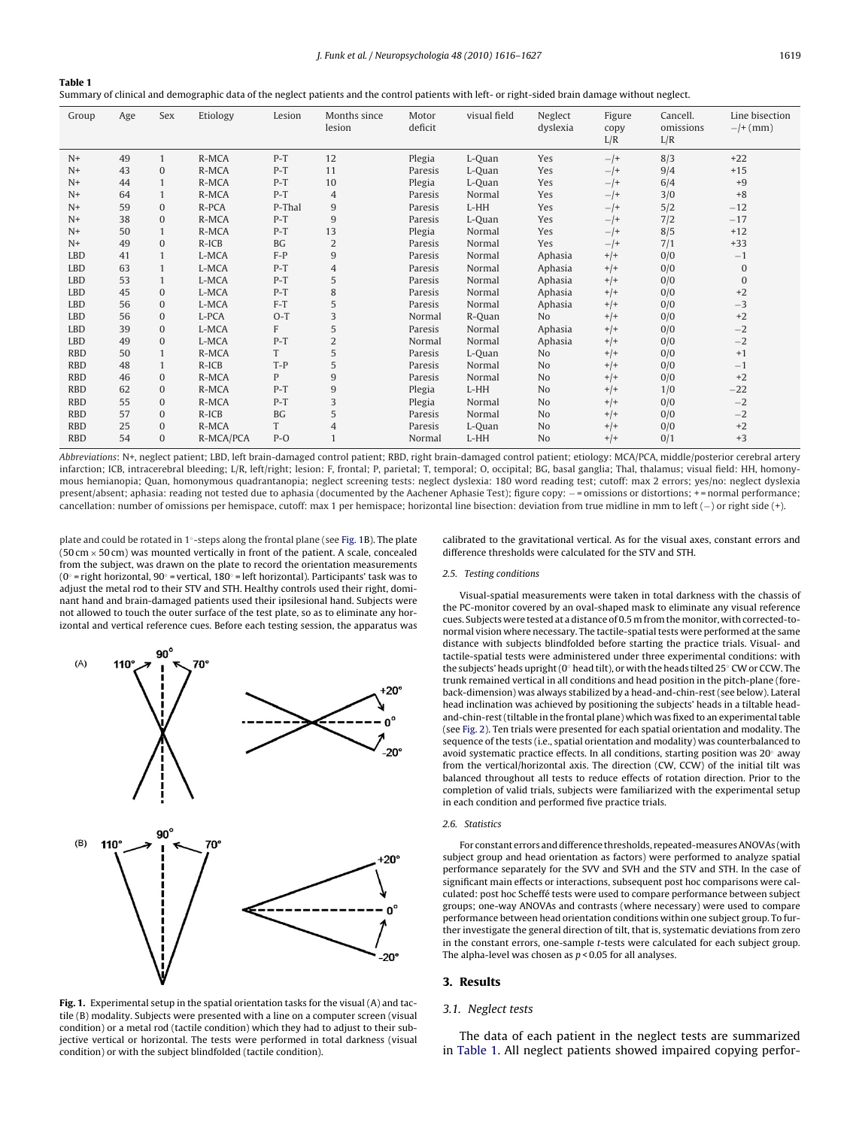<span id="page-3-0"></span>

| Table 1                                                                                                                                           |
|---------------------------------------------------------------------------------------------------------------------------------------------------|
| Summary of clinical and demographic data of the neglect patients and the control patients with left- or right-sided brain damage without neglect. |

| Group      | Age | Sex              | Etiology  | Lesion    | Months since<br>lesion | Motor<br>deficit | visual field | Neglect<br>dyslexia | Figure<br>copy<br>L/R | Cancell.<br>omissions<br>L/R | Line bisection<br>$-/+$ (mm) |
|------------|-----|------------------|-----------|-----------|------------------------|------------------|--------------|---------------------|-----------------------|------------------------------|------------------------------|
| $N+$       | 49  | $\mathbf{1}$     | R-MCA     | $P-T$     | 12                     | Plegia           | L-Quan       | Yes                 | $-$ /+                | 8/3                          | $+22$                        |
| $N+$       | 43  | $\Omega$         | R-MCA     | $P-T$     | 11                     | Paresis          | L-Quan       | Yes                 | $-$ /+                | 9/4                          | $+15$                        |
| $N+$       | 44  | $\mathbf{1}$     | R-MCA     | $P-T$     | 10                     | Plegia           | L-Quan       | Yes                 | $-$ /+                | 6/4                          | $+9$                         |
| $N+$       | 64  | 1                | R-MCA     | $P-T$     | $\overline{4}$         | Paresis          | Normal       | Yes                 | $-$ /+                | 3/0                          | $+8$                         |
| $N+$       | 59  | $\mathbf{0}$     | R-PCA     | P-Thal    | 9                      | Paresis          | $L-HH$       | Yes                 | $-/+$                 | 5/2                          | $-12$                        |
| $N+$       | 38  | $\boldsymbol{0}$ | R-MCA     | $P-T$     | 9                      | Paresis          | L-Quan       | Yes                 | $-$ /+                | 7/2                          | $-17$                        |
| $N+$       | 50  | 1                | R-MCA     | $P-T$     | 13                     | Plegia           | Normal       | Yes                 | $-$ /+                | 8/5                          | $+12$                        |
| $N+$       | 49  | $\mathbf{0}$     | $R-ICB$   | BG        | $\overline{2}$         | Paresis          | Normal       | Yes                 | $-$ /+                | 7/1                          | $+33$                        |
| <b>LBD</b> | 41  | $\mathbf{1}$     | L-MCA     | $F-P$     | 9                      | Paresis          | Normal       | Aphasia             | $+$ /+                | 0/0                          | $-1$                         |
| <b>LBD</b> | 63  | 1                | L-MCA     | $P-T$     | $\overline{4}$         | Paresis          | Normal       | Aphasia             | $+$ /+                | 0/0                          | $\mathbf{0}$                 |
| <b>LBD</b> | 53  | $\mathbf{1}$     | L-MCA     | $P-T$     | 5                      | Paresis          | Normal       | Aphasia             | $+$ /+                | 0/0                          | $\mathbf{0}$                 |
| <b>LBD</b> | 45  | $\mathbf{0}$     | L-MCA     | $P-T$     | 8                      | Paresis          | Normal       | Aphasia             | $+$ /+                | 0/0                          | $+2$                         |
| <b>LBD</b> | 56  | $\mathbf{0}$     | L-MCA     | $F-T$     | 5                      | Paresis          | Normal       | Aphasia             | $+$ /+                | 0/0                          | $-3$                         |
| <b>LBD</b> | 56  | $\mathbf{0}$     | L-PCA     | $O-T$     | 3                      | Normal           | R-Quan       | No                  | $+$ /+                | 0/0                          | $+2$                         |
| <b>LBD</b> | 39  | $\mathbf{0}$     | L-MCA     | F         | 5                      | Paresis          | Normal       | Aphasia             | $+$ /+                | 0/0                          | $-2$                         |
| <b>LBD</b> | 49  | $\mathbf{0}$     | L-MCA     | $P-T$     | $\overline{2}$         | Normal           | Normal       | Aphasia             | $+$ /+                | 0/0                          | $-2$                         |
| <b>RBD</b> | 50  | $\mathbf{1}$     | R-MCA     | T         | 5                      | Paresis          | L-Quan       | No                  | $+$ /+                | 0/0                          | $+1$                         |
| <b>RBD</b> | 48  | $\mathbf{1}$     | $R$ -ICB  | $T-P$     | 5                      | Paresis          | Normal       | No                  | $+$ /+                | 0/0                          | $-1$                         |
| <b>RBD</b> | 46  | $\mathbf{0}$     | R-MCA     | P         | 9                      | Paresis          | Normal       | No                  | $+$ /+                | 0/0                          | $+2$                         |
| <b>RBD</b> | 62  | $\mathbf{0}$     | R-MCA     | $P-T$     | 9                      | Plegia           | L-HH         | No                  | $+$ /+                | 1/0                          | $-22$                        |
| <b>RBD</b> | 55  | $\mathbf{0}$     | R-MCA     | $P-T$     | 3                      | Plegia           | Normal       | No                  | $+$ /+                | 0/0                          | $-2$                         |
| <b>RBD</b> | 57  | $\mathbf{0}$     | $R$ -ICB  | <b>BG</b> | 5                      | Paresis          | Normal       | No                  | $+$ /+                | 0/0                          | $-2$                         |
| <b>RBD</b> | 25  | $\bf{0}$         | R-MCA     | T.        | 4                      | Paresis          | L-Quan       | No                  | $+$ /+                | 0/0                          | $+2$                         |
| <b>RBD</b> | 54  | $\mathbf{0}$     | R-MCA/PCA | $P-O$     |                        | Normal           | L-HH         | N <sub>o</sub>      | $+$ /+                | 0/1                          | $+3$                         |

Abbreviations: N+, neglect patient; LBD, left brain-damaged control patient; RBD, right brain-damaged control patient; etiology: MCA/PCA, middle/posterior cerebral artery infarction; ICB, intracerebral bleeding; L/R, left/right; lesion: F, frontal; P, parietal; T, temporal; O, occipital; BG, basal ganglia; Thal, thalamus; visual field: HH, homonymous hemianopia; Quan, homonymous quadrantanopia; neglect screening tests: neglect dyslexia: 180 word reading test; cutoff: max 2 errors; yes/no: neglect dyslexia present/absent; aphasia: reading not tested due to aphasia (documented by the Aachener Aphasie Test); figure copy: - = omissions or distortions; + = normal performance; cancellation: number of omissions per hemispace, cutoff: max 1 per hemispace; horizontal line bisection: deviation from true midline in mm to left (−) or right side (+).

plate and could be rotated in 1◦-steps along the frontal plane (see Fig. 1B). The plate (50 cm  $\times$  50 cm) was mounted vertically in front of the patient. A scale, concealed from the subject, was drawn on the plate to record the orientation measurements (0° = right horizontal, 90° = vertical, 180° = left horizontal). Participants' task was to adjust the metal rod to their STV and STH. Healthy controls used their right, dominant hand and brain-damaged patients used their ipsilesional hand. Subjects were not allowed to touch the outer surface of the test plate, so as to eliminate any horizontal and vertical reference cues. Before each testing session, the apparatus was



**Fig. 1.** Experimental setup in the spatial orientation tasks for the visual (A) and tactile (B) modality. Subjects were presented with a line on a computer screen (visual condition) or a metal rod (tactile condition) which they had to adjust to their subjective vertical or horizontal. The tests were performed in total darkness (visual condition) or with the subject blindfolded (tactile condition).

calibrated to the gravitational vertical. As for the visual axes, constant errors and difference thresholds were calculated for the STV and STH.

#### 2.5. Testing conditions

Visual-spatial measurements were taken in total darkness with the chassis of the PC-monitor covered by an oval-shaped mask to eliminate any visual reference cues. Subjects were tested at a distance of 0.5 m from the monitor, with corrected-tonormal vision where necessary. The tactile-spatial tests were performed at the same distance with subjects blindfolded before starting the practice trials. Visual- and tactile-spatial tests were administered under three experimental conditions: with the subjects' heads upright (0◦ head tilt), or with the heads tilted 25◦ CW or CCW. The trunk remained vertical in all conditions and head position in the pitch-plane (foreback-dimension) was always stabilized by a head-and-chin-rest (see below). Lateral head inclination was achieved by positioning the subjects' heads in a tiltable headand-chin-rest (tiltable in the frontal plane) which was fixed to an experimental table (see [Fig. 2\).](#page-4-0) Ten trials were presented for each spatial orientation and modality. The sequence of the tests (i.e., spatial orientation and modality) was counterbalanced to avoid systematic practice effects. In all conditions, starting position was 20◦ away from the vertical/horizontal axis. The direction (CW, CCW) of the initial tilt was balanced throughout all tests to reduce effects of rotation direction. Prior to the completion of valid trials, subjects were familiarized with the experimental setup in each condition and performed five practice trials.

#### 2.6 Statistics

For constant errors and difference thresholds, repeated-measures ANOVAs (with subject group and head orientation as factors) were performed to analyze spatial performance separately for the SVV and SVH and the STV and STH. In the case of significant main effects or interactions, subsequent post hoc comparisons were calculated: post hoc Scheffé tests were used to compare performance between subject groups; one-way ANOVAs and contrasts (where necessary) were used to compare performance between head orientation conditions within one subject group. To further investigate the general direction of tilt, that is, systematic deviations from zero in the constant errors, one-sample t-tests were calculated for each subject group. The alpha-level was chosen as  $p < 0.05$  for all analyses.

## **3. Results**

#### 3.1. Neglect tests

The data of each patient in the neglect tests are summarized in Table 1. All neglect patients showed impaired copying perfor-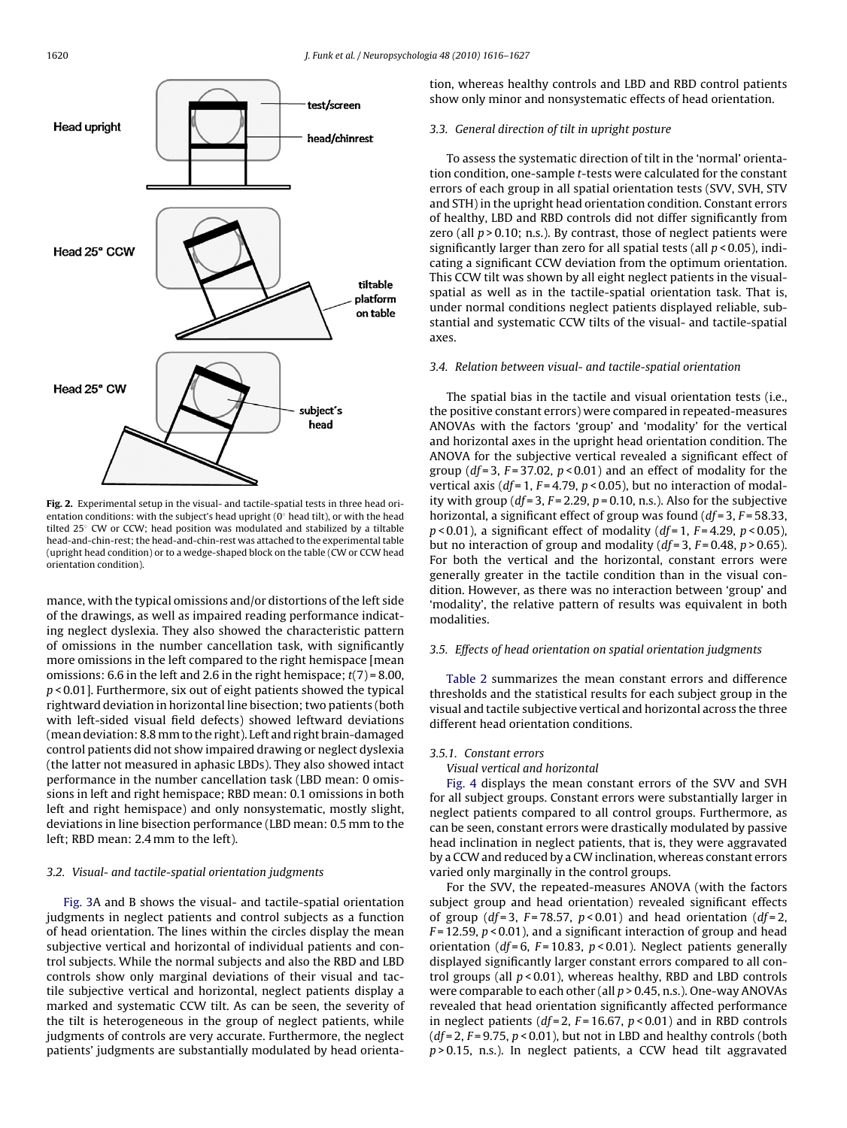<span id="page-4-0"></span>

**Fig. 2.** Experimental setup in the visual- and tactile-spatial tests in three head orientation conditions: with the subject's head upright  $(0<sup>°</sup>$  head tilt), or with the head tilted 25◦ CW or CCW; head position was modulated and stabilized by a tiltable head-and-chin-rest; the head-and-chin-rest was attached to the experimental table (upright head condition) or to a wedge-shaped block on the table (CW or CCW head orientation condition).

mance, with the typical omissions and/or distortions of the left side of the drawings, as well as impaired reading performance indicating neglect dyslexia. They also showed the characteristic pattern of omissions in the number cancellation task, with significantly more omissions in the left compared to the right hemispace [mean omissions: 6.6 in the left and 2.6 in the right hemispace;  $t(7) = 8.00$ , p < 0.01]. Furthermore, six out of eight patients showed the typical rightward deviation in horizontal line bisection; two patients (both with left-sided visual field defects) showed leftward deviations (mean deviation: 8.8 mm to the right). Left and right brain-damaged control patients did not show impaired drawing or neglect dyslexia (the latter not measured in aphasic LBDs). They also showed intact performance in the number cancellation task (LBD mean: 0 omissions in left and right hemispace; RBD mean: 0.1 omissions in both left and right hemispace) and only nonsystematic, mostly slight, deviations in line bisection performance (LBD mean: 0.5 mm to the left; RBD mean: 2.4 mm to the left).

## 3.2. Visual- and tactile-spatial orientation judgments

[Fig. 3A](#page-5-0) and B shows the visual- and tactile-spatial orientation judgments in neglect patients and control subjects as a function of head orientation. The lines within the circles display the mean subjective vertical and horizontal of individual patients and control subjects. While the normal subjects and also the RBD and LBD controls show only marginal deviations of their visual and tactile subjective vertical and horizontal, neglect patients display a marked and systematic CCW tilt. As can be seen, the severity of the tilt is heterogeneous in the group of neglect patients, while judgments of controls are very accurate. Furthermore, the neglect patients' judgments are substantially modulated by head orientation, whereas healthy controls and LBD and RBD control patients show only minor and nonsystematic effects of head orientation.

## 3.3. General direction of tilt in upright posture

To assess the systematic direction of tilt in the 'normal' orientation condition, one-sample t-tests were calculated for the constant errors of each group in all spatial orientation tests (SVV, SVH, STV and STH) in the upright head orientation condition. Constant errors of healthy, LBD and RBD controls did not differ significantly from zero (all  $p > 0.10$ ; n.s.). By contrast, those of neglect patients were significantly larger than zero for all spatial tests (all  $p < 0.05$ ), indicating a significant CCW deviation from the optimum orientation. This CCW tilt was shown by all eight neglect patients in the visualspatial as well as in the tactile-spatial orientation task. That is, under normal conditions neglect patients displayed reliable, substantial and systematic CCW tilts of the visual- and tactile-spatial axes.

#### 3.4. Relation between visual- and tactile-spatial orientation

The spatial bias in the tactile and visual orientation tests (i.e., the positive constant errors) were compared in repeated-measures ANOVAs with the factors 'group' and 'modality' for the vertical and horizontal axes in the upright head orientation condition. The ANOVA for the subjective vertical revealed a significant effect of group ( $df = 3$ ,  $F = 37.02$ ,  $p < 0.01$ ) and an effect of modality for the vertical axis ( $df = 1$ ,  $F = 4.79$ ,  $p < 0.05$ ), but no interaction of modality with group ( $df = 3$ ,  $F = 2.29$ ,  $p = 0.10$ , n.s.). Also for the subjective horizontal, a significant effect of group was found  $(df=3, F=58.33,$  $p < 0.01$ ), a significant effect of modality (df = 1,  $F = 4.29$ ,  $p < 0.05$ ), but no interaction of group and modality  $(df=3, F=0.48, p>0.65)$ . For both the vertical and the horizontal, constant errors were generally greater in the tactile condition than in the visual condition. However, as there was no interaction between 'group' and 'modality', the relative pattern of results was equivalent in both modalities.

#### 3.5. Effects of head orientation on spatial orientation judgments

[Table 2](#page-6-0) summarizes the mean constant errors and difference thresholds and the statistical results for each subject group in the visual and tactile subjective vertical and horizontal across the three different head orientation conditions.

# 3.5.1. Constant errors

# Visual vertical and horizontal

[Fig. 4](#page-6-0) displays the mean constant errors of the SVV and SVH for all subject groups. Constant errors were substantially larger in neglect patients compared to all control groups. Furthermore, as can be seen, constant errors were drastically modulated by passive head inclination in neglect patients, that is, they were aggravated by a CCW and reduced by a CW inclination, whereas constant errors varied only marginally in the control groups.

For the SVV, the repeated-measures ANOVA (with the factors subject group and head orientation) revealed significant effects of group ( $df = 3$ ,  $F = 78.57$ ,  $p < 0.01$ ) and head orientation ( $df = 2$ ,  $F = 12.59$ ,  $p < 0.01$ ), and a significant interaction of group and head orientation ( $df = 6$ ,  $F = 10.83$ ,  $p < 0.01$ ). Neglect patients generally displayed significantly larger constant errors compared to all control groups (all  $p < 0.01$ ), whereas healthy, RBD and LBD controls were comparable to each other (all  $p > 0.45$ , n.s.). One-way ANOVAs revealed that head orientation significantly affected performance in neglect patients ( $df = 2$ ,  $F = 16.67$ ,  $p < 0.01$ ) and in RBD controls  $(df=2, F=9.75, p<0.01)$ , but not in LBD and healthy controls (both  $p > 0.15$ , n.s.). In neglect patients, a CCW head tilt aggravated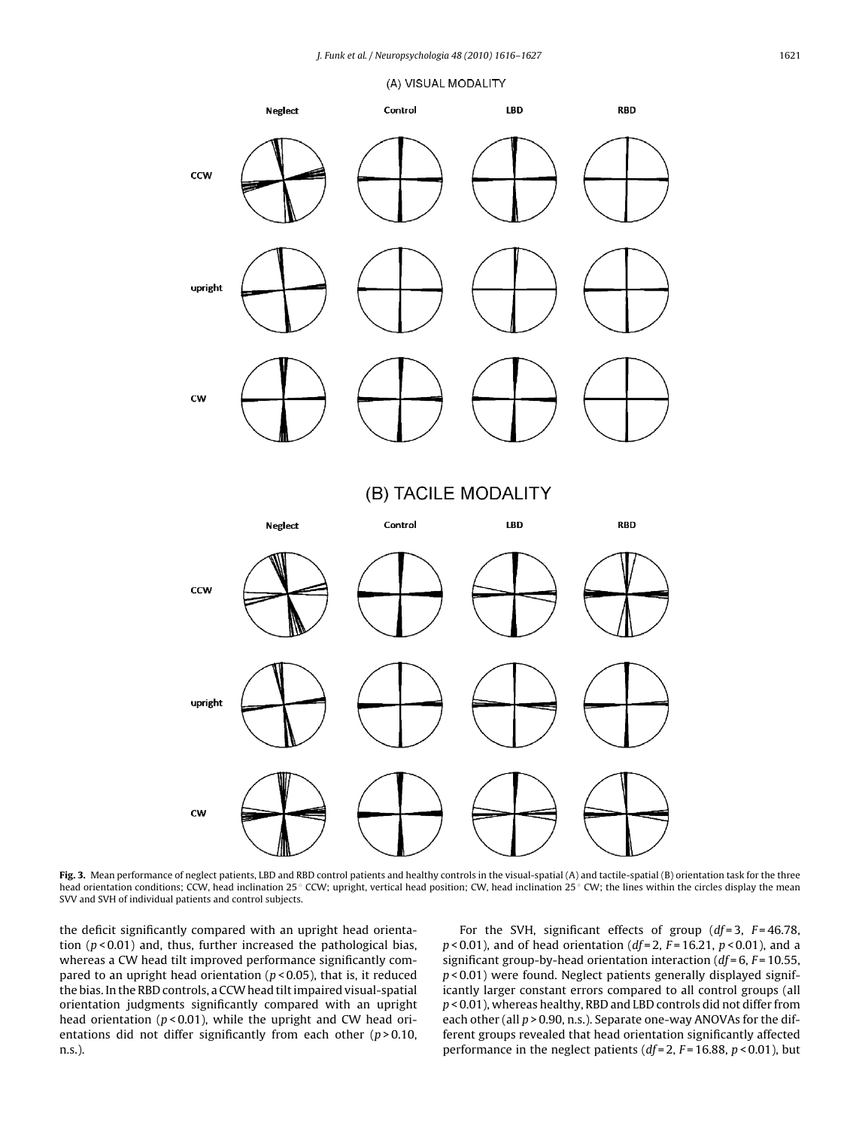#### (A) VISUAL MODALITY

<span id="page-5-0"></span>

**Fig. 3.** Mean performance of neglect patients, LBD and RBD control patients and healthy controls in the visual-spatial (A) and tactile-spatial (B) orientation task for the three head orientation conditions; CCW, head inclination 25 ◦ CCW; upright, vertical head position; CW, head inclination 25 ◦ CW; the lines within the circles display the mean SVV and SVH of individual patients and control subjects.

the deficit significantly compared with an upright head orientation ( $p$ <0.01) and, thus, further increased the pathological bias, whereas a CW head tilt improved performance significantly compared to an upright head orientation ( $p$  < 0.05), that is, it reduced the bias. In the RBD controls, a CCW head tilt impaired visual-spatial orientation judgments significantly compared with an upright head orientation ( $p < 0.01$ ), while the upright and CW head orientations did not differ significantly from each other  $(p > 0.10$ , n.s.).

For the SVH, significant effects of group  $(df=3, F=46.78,$  $p$  < 0.01), and of head orientation (df = 2, F = 16.21,  $p$  < 0.01), and a significant group-by-head orientation interaction ( $df = 6$ ,  $F = 10.55$ ,  $p$  < 0.01) were found. Neglect patients generally displayed significantly larger constant errors compared to all control groups (all p < 0.01), whereas healthy, RBD and LBD controls did not differ from each other (all  $p > 0.90$ , n.s.). Separate one-way ANOVAs for the different groups revealed that head orientation significantly affected performance in the neglect patients ( $df = 2$ ,  $F = 16.88$ ,  $p < 0.01$ ), but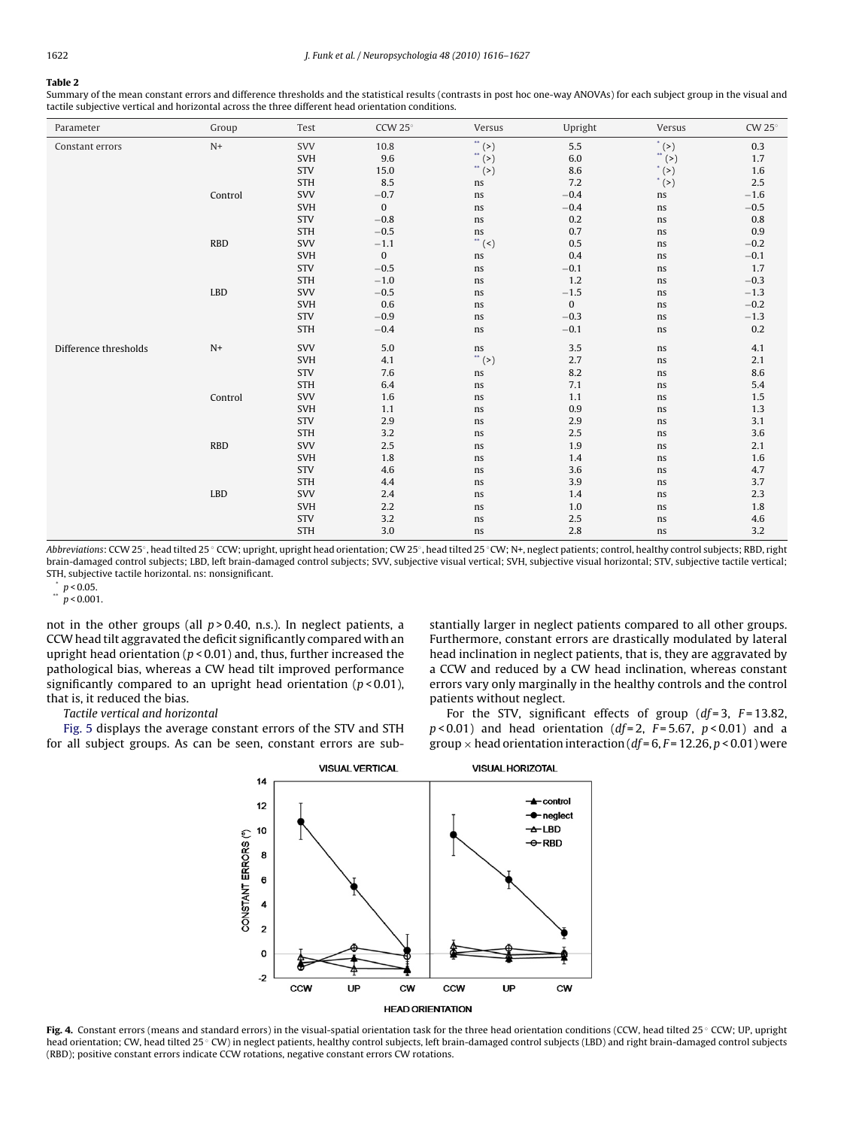# <span id="page-6-0"></span>**Table 2**

Summary of the mean constant errors and difference thresholds and the statistical results (contrasts in post hoc one-way ANOVAs) for each subject group in the visual and tactile subjective vertical and horizontal across the three different head orientation conditions.

| Parameter             | Group      | Test       | CCW 25°          | Versus                               | Upright          | Versus                               | CW 25 $^{\circ}$ |
|-----------------------|------------|------------|------------------|--------------------------------------|------------------|--------------------------------------|------------------|
| Constant errors       | $N+$       | SVV        | 10.8             | $\quad ^{\ast \ast }\left( >\right)$ | 5.5              | $^\ast$ (>)                          | 0.3              |
|                       |            | <b>SVH</b> | 9.6              | $\overline{\hspace{1mm}}^{\ast}$ (>) | $6.0\,$          | $\overline{\hspace{-.07cm}^{**}}(>)$ | 1.7              |
|                       |            | STV        | 15.0             | $\overline{\hspace{1mm}}^{\ast}$ (>) | 8.6              | $^\ast$ (>)                          | 1.6              |
|                       |            | <b>STH</b> | 8.5              | ns                                   | 7.2              | $^*(\rightarrow)$                    | 2.5              |
|                       | Control    | SVV        | $-0.7$           | ns                                   | $-0.4$           | ns                                   | $-1.6$           |
|                       |            | <b>SVH</b> | $\bf{0}$         | ns                                   | $-0.4$           | ns                                   | $-0.5$           |
|                       |            | STV        | $-0.8$           | ns                                   | 0.2              | ns                                   | 0.8              |
|                       |            | <b>STH</b> | $-0.5$           | ns                                   | 0.7              | ns                                   | 0.9              |
|                       | <b>RBD</b> | SVV        | $-1.1$           |                                      | 0.5              | ns                                   | $-0.2$           |
|                       |            | <b>SVH</b> | $\boldsymbol{0}$ | ns                                   | 0.4              | ns                                   | $-0.1$           |
|                       |            | STV        | $-0.5$           | ns                                   | $-0.1$           | ns                                   | 1.7              |
|                       |            | <b>STH</b> | $-1.0$           | ns                                   | 1.2              | ns                                   | $-0.3$           |
|                       | LBD        | SVV        | $-0.5$           | ns                                   | $-1.5$           | ns                                   | $-1.3$           |
|                       |            | SVH        | 0.6              | ns                                   | $\boldsymbol{0}$ | ns                                   | $-0.2$           |
|                       |            | STV        | $-0.9$           | ns                                   | $-0.3$           | ns                                   | $-1.3$           |
|                       |            | <b>STH</b> | $-0.4$           | ns                                   | $-0.1$           | ns                                   | $0.2\,$          |
| Difference thresholds | $N+$       | SVV        | 5.0              | ns                                   | 3.5              | ns                                   | 4.1              |
|                       |            | <b>SVH</b> | 4.1              | $\hspace{1mm}^{**}$ (>)              | 2.7              | ns                                   | 2.1              |
|                       |            | STV        | 7.6              | ns                                   | 8.2              | ns                                   | 8.6              |
|                       |            | <b>STH</b> | 6.4              | ns                                   | 7.1              | ns                                   | 5.4              |
|                       | Control    | SVV        | 1.6              | ns                                   | 1.1              | ns                                   | 1.5              |
|                       |            | <b>SVH</b> | 1.1              | ns                                   | 0.9              | ns                                   | 1.3              |
|                       |            | STV        | 2.9              | ns                                   | 2.9              | ns                                   | 3.1              |
|                       |            | <b>STH</b> | 3.2              | ns                                   | 2.5              | ns                                   | 3.6              |
|                       | <b>RBD</b> | SVV        | 2.5              | ns                                   | 1.9              | ns                                   | 2.1              |
|                       |            | <b>SVH</b> | 1.8              | ns                                   | 1.4              | ns                                   | 1.6              |
|                       |            | STV        | 4.6              | ns                                   | 3.6              | ns                                   | 4.7              |
|                       |            | <b>STH</b> | 4.4              | ns                                   | 3.9              | ns                                   | 3.7              |
|                       | LBD        | SVV        | 2.4              | ns                                   | 1.4              | ns                                   | 2.3              |
|                       |            | SVH        | 2.2              | ns                                   | 1.0              | ns                                   | 1.8              |
|                       |            | STV        | 3.2              | ns                                   | 2.5              | ns                                   | 4.6              |
|                       |            | <b>STH</b> | 3.0              | ns                                   | 2.8              | ns                                   | 3.2              |

Abbreviations: CCW 25◦, head tilted 25 ◦ CCW; upright, upright head orientation; CW 25◦, head tilted 25 ◦CW; N+, neglect patients; control, healthy control subjects; RBD, right brain-damaged control subjects; LBD, left brain-damaged control subjects; SVV, subjective visual vertical; SVH, subjective visual horizontal; STV, subjective tactile vertical; STH, subjective tactile horizontal. ns: nonsignificant.

 $\binom{p}{r}$  p < 0.05.

 $p < 0.001$ .

not in the other groups (all  $p > 0.40$ , n.s.). In neglect patients, a CCW head tilt aggravated the deficit significantly compared with an upright head orientation ( $p$  < 0.01) and, thus, further increased the pathological bias, whereas a CW head tilt improved performance significantly compared to an upright head orientation  $(p < 0.01)$ , that is, it reduced the bias.

#### Tactile vertical and horizontal

[Fig. 5](#page-7-0) displays the average constant errors of the STV and STH for all subject groups. As can be seen, constant errors are substantially larger in neglect patients compared to all other groups. Furthermore, constant errors are drastically modulated by lateral head inclination in neglect patients, that is, they are aggravated by a CCW and reduced by a CW head inclination, whereas constant errors vary only marginally in the healthy controls and the control patients without neglect.

For the STV, significant effects of group  $(df=3, F=13.82,$  $p$  < 0.01) and head orientation (df = 2,  $F$  = 5.67,  $p$  < 0.01) and a group  $\times$  head orientation interaction (df = 6, F = 12.26, p < 0.01) were



Fig. 4. Constant errors (means and standard errors) in the visual-spatial orientation task for the three head orientation conditions (CCW, head tilted 25 ℃CW; UP, upright head orientation; CW, head tilted 25 ° CW) in neglect patients, healthy control subjects, left brain-damaged control subjects (LBD) and right brain-damaged control subjects (RBD); positive constant errors indicate CCW rotations, negative constant errors CW rotations.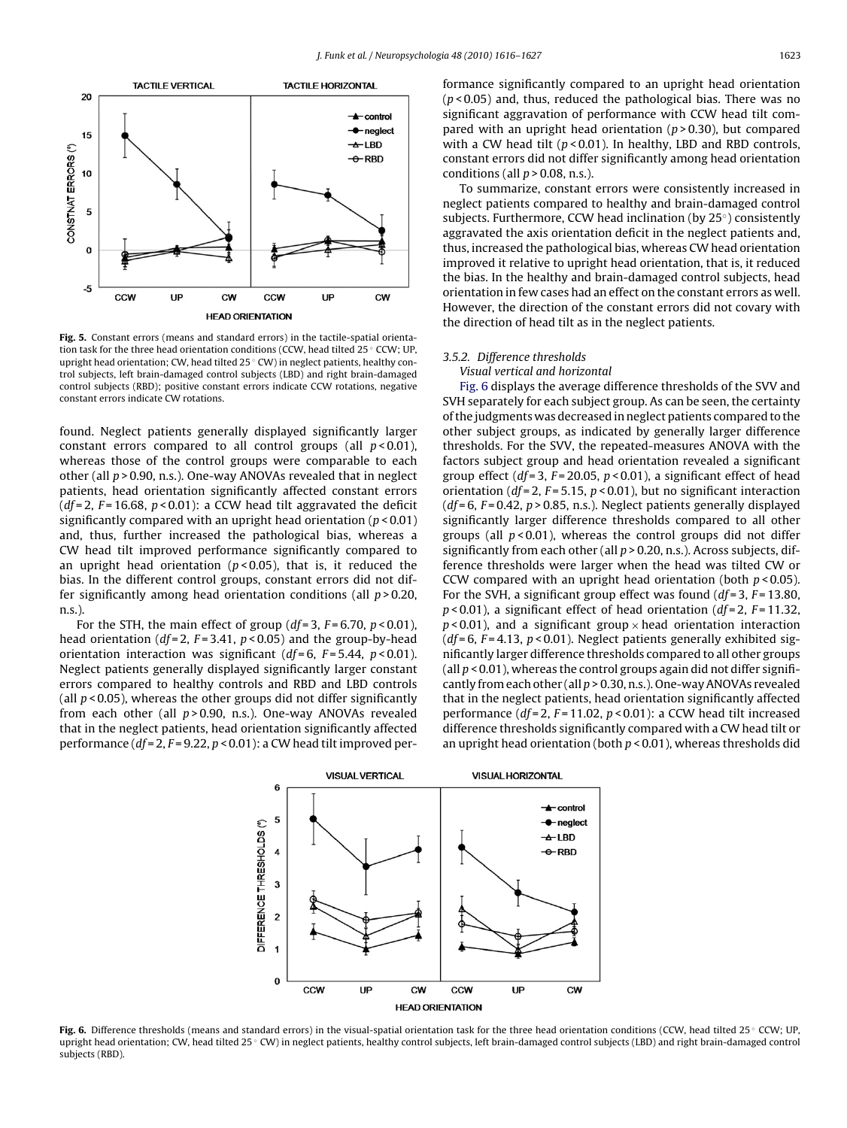<span id="page-7-0"></span>

**Fig. 5.** Constant errors (means and standard errors) in the tactile-spatial orientation task for the three head orientation conditions (CCW, head tilted 25 ◦ CCW; UP, upright head orientation; CW, head tilted 25 ° CW) in neglect patients, healthy control subjects, left brain-damaged control subjects (LBD) and right brain-damaged control subjects (RBD); positive constant errors indicate CCW rotations, negative constant errors indicate CW rotations.

found. Neglect patients generally displayed significantly larger constant errors compared to all control groups (all  $p < 0.01$ ), whereas those of the control groups were comparable to each other (all  $p > 0.90$ , n.s.). One-way ANOVAs revealed that in neglect patients, head orientation significantly affected constant errors ( $df = 2$ ,  $F = 16.68$ ,  $p < 0.01$ ): a CCW head tilt aggravated the deficit significantly compared with an upright head orientation  $(p < 0.01)$ and, thus, further increased the pathological bias, whereas a CW head tilt improved performance significantly compared to an upright head orientation ( $p$  < 0.05), that is, it reduced the bias. In the different control groups, constant errors did not differ significantly among head orientation conditions (all  $p > 0.20$ , n.s.).

For the STH, the main effect of group  $(df=3, F=6.70, p<0.01)$ , head orientation ( $df = 2$ ,  $F = 3.41$ ,  $p < 0.05$ ) and the group-by-head orientation interaction was significant  $(df=6, F=5.44, p<0.01)$ . Neglect patients generally displayed significantly larger constant errors compared to healthy controls and RBD and LBD controls (all  $p < 0.05$ ), whereas the other groups did not differ significantly from each other (all  $p > 0.90$ , n.s.). One-way ANOVAs revealed that in the neglect patients, head orientation significantly affected performance ( $df = 2$ ,  $F = 9.22$ ,  $p < 0.01$ ): a CW head tilt improved performance significantly compared to an upright head orientation  $(p < 0.05)$  and, thus, reduced the pathological bias. There was no significant aggravation of performance with CCW head tilt compared with an upright head orientation ( $p > 0.30$ ), but compared with a CW head tilt ( $p < 0.01$ ). In healthy, LBD and RBD controls, constant errors did not differ significantly among head orientation conditions (all  $p > 0.08$ , n.s.).

To summarize, constant errors were consistently increased in neglect patients compared to healthy and brain-damaged control subjects. Furthermore, CCW head inclination (by 25◦) consistently aggravated the axis orientation deficit in the neglect patients and, thus, increased the pathological bias, whereas CW head orientation improved it relative to upright head orientation, that is, it reduced the bias. In the healthy and brain-damaged control subjects, head orientation in few cases had an effect on the constant errors as well. However, the direction of the constant errors did not covary with the direction of head tilt as in the neglect patients.

# 3.5.2. Difference thresholds

# Visual vertical and horizontal

Fig. 6 displays the average difference thresholds of the SVV and SVH separately for each subject group. As can be seen, the certainty of the judgments was decreased in neglect patients compared to the other subject groups, as indicated by generally larger difference thresholds. For the SVV, the repeated-measures ANOVA with the factors subject group and head orientation revealed a significant group effect ( $df = 3$ ,  $F = 20.05$ ,  $p < 0.01$ ), a significant effect of head orientation ( $df = 2$ ,  $F = 5.15$ ,  $p < 0.01$ ), but no significant interaction  $(df=6, F=0.42, p>0.85, n.s.).$  Neglect patients generally displayed significantly larger difference thresholds compared to all other groups (all  $p < 0.01$ ), whereas the control groups did not differ significantly from each other (all  $p > 0.20$ , n.s.). Across subjects, difference thresholds were larger when the head was tilted CW or CCW compared with an upright head orientation (both  $p < 0.05$ ). For the SVH, a significant group effect was found  $(df=3, F=13.80,$  $p$  < 0.01), a significant effect of head orientation ( $df = 2$ ,  $F = 11.32$ ,  $p$  < 0.01), and a significant group  $\times$  head orientation interaction ( $df = 6$ ,  $F = 4.13$ ,  $p < 0.01$ ). Neglect patients generally exhibited significantly larger difference thresholds compared to all other groups (all  $p < 0.01$ ), whereas the control groups again did not differ significantly from each other (all  $p > 0.30$ , n.s.). One-way ANOVAs revealed that in the neglect patients, head orientation significantly affected performance  $(df=2, F=11.02, p<0.01)$ : a CCW head tilt increased difference thresholds significantly compared with a CW head tilt or an upright head orientation (both  $p < 0.01$ ), whereas thresholds did



**Fig. 6.** Difference thresholds (means and standard errors) in the visual-spatial orientation task for the three head orientation conditions (CCW, head tilted 25 ◦ CCW; UP, upright head orientation; CW, head tilted 25 ℃W) in neglect patients, healthy control subjects, left brain-damaged control subjects (LBD) and right brain-damaged control subjects (RBD).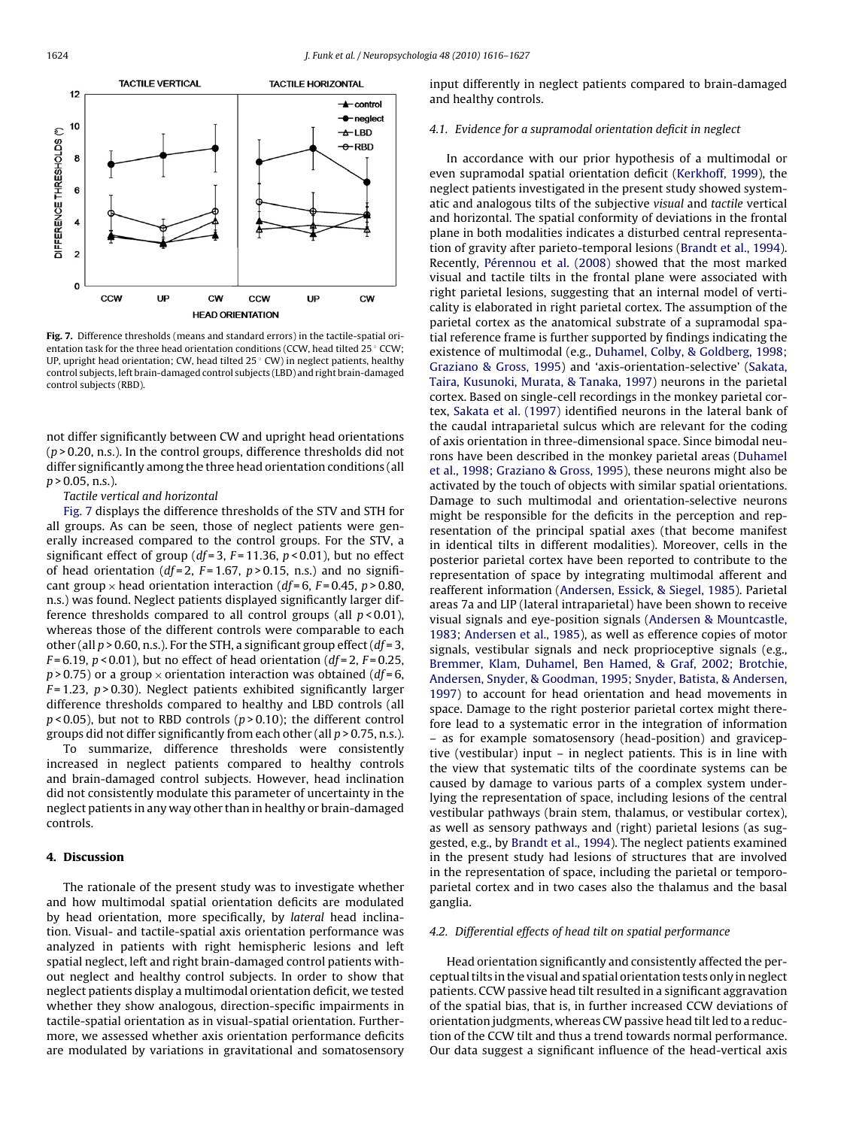

**Fig. 7.** Difference thresholds (means and standard errors) in the tactile-spatial orientation task for the three head orientation conditions (CCW, head tilted 25 ° CCW; UP, upright head orientation; CW, head tilted 25 ◦ CW) in neglect patients, healthy control subjects, left brain-damaged control subjects (LBD) and right brain-damaged control subjects (RBD).

not differ significantly between CW and upright head orientations  $(p > 0.20, n.s.).$  In the control groups, difference thresholds did not differ significantly among the three head orientation conditions (all  $p > 0.05$ , n.s.).

## Tactile vertical and horizontal

Fig. 7 displays the difference thresholds of the STV and STH for all groups. As can be seen, those of neglect patients were generally increased compared to the control groups. For the STV, a significant effect of group ( $df = 3$ ,  $F = 11.36$ ,  $p < 0.01$ ), but no effect of head orientation ( $df = 2$ ,  $F = 1.67$ ,  $p > 0.15$ , n.s.) and no significant group  $\times$  head orientation interaction (df = 6, F = 0.45, p > 0.80, n.s.) was found. Neglect patients displayed significantly larger difference thresholds compared to all control groups (all  $p < 0.01$ ), whereas those of the different controls were comparable to each other (all  $p > 0.60$ , n.s.). For the STH, a significant group effect ( $df = 3$ ,  $F = 6.19$ ,  $p < 0.01$ ), but no effect of head orientation ( $df = 2$ ,  $F = 0.25$ ,  $p > 0.75$ ) or a group  $\times$  orientation interaction was obtained (*df* = 6,  $F = 1.23$ ,  $p > 0.30$ ). Neglect patients exhibited significantly larger difference thresholds compared to healthy and LBD controls (all  $p$  < 0.05), but not to RBD controls ( $p$  > 0.10); the different control groups did not differ significantly from each other (all  $p > 0.75$ , n.s.).

To summarize, difference thresholds were consistently increased in neglect patients compared to healthy controls and brain-damaged control subjects. However, head inclination did not consistently modulate this parameter of uncertainty in the neglect patients in any way other than in healthy or brain-damaged controls.

## **4. Discussion**

The rationale of the present study was to investigate whether and how multimodal spatial orientation deficits are modulated by head orientation, more specifically, by lateral head inclination. Visual- and tactile-spatial axis orientation performance was analyzed in patients with right hemispheric lesions and left spatial neglect, left and right brain-damaged control patients without neglect and healthy control subjects. In order to show that neglect patients display a multimodal orientation deficit, we tested whether they show analogous, direction-specific impairments in tactile-spatial orientation as in visual-spatial orientation. Furthermore, we assessed whether axis orientation performance deficits are modulated by variations in gravitational and somatosensory input differently in neglect patients compared to brain-damaged and healthy controls.

# 4.1. Evidence for a supramodal orientation deficit in neglect

In accordance with our prior hypothesis of a multimodal or even supramodal spatial orientation deficit [\(Kerkhoff, 1999\),](#page-10-0) the neglect patients investigated in the present study showed systematic and analogous tilts of the subjective visual and tactile vertical and horizontal. The spatial conformity of deviations in the frontal plane in both modalities indicates a disturbed central representation of gravity after parieto-temporal lesions ([Brandt et al., 1994\).](#page-10-0) Recently, [Pérennou et al. \(2008\)](#page-11-0) showed that the most marked visual and tactile tilts in the frontal plane were associated with right parietal lesions, suggesting that an internal model of verticality is elaborated in right parietal cortex. The assumption of the parietal cortex as the anatomical substrate of a supramodal spatial reference frame is further supported by findings indicating the existence of multimodal (e.g., [Duhamel, Colby, & Goldberg, 1998;](#page-10-0) [Graziano & Gross, 1995\)](#page-10-0) and 'axis-orientation-selective' ([Sakata,](#page-11-0) [Taira, Kusunoki, Murata, & Tanaka, 1997\)](#page-11-0) neurons in the parietal cortex. Based on single-cell recordings in the monkey parietal cortex, [Sakata et al. \(1997\)](#page-11-0) identified neurons in the lateral bank of the caudal intraparietal sulcus which are relevant for the coding of axis orientation in three-dimensional space. Since bimodal neurons have been described in the monkey parietal areas [\(Duhamel](#page-10-0) [et al., 1998; Graziano & Gross, 1995\),](#page-10-0) these neurons might also be activated by the touch of objects with similar spatial orientations. Damage to such multimodal and orientation-selective neurons might be responsible for the deficits in the perception and representation of the principal spatial axes (that become manifest in identical tilts in different modalities). Moreover, cells in the posterior parietal cortex have been reported to contribute to the representation of space by integrating multimodal afferent and reafferent information ([Andersen, Essick, & Siegel, 1985\).](#page-10-0) Parietal areas 7a and LIP (lateral intraparietal) have been shown to receive visual signals and eye-position signals ([Andersen & Mountcastle,](#page-10-0) [1983; Andersen et al., 1985\),](#page-10-0) as well as efference copies of motor signals, vestibular signals and neck proprioceptive signals (e.g., [Bremmer, Klam, Duhamel, Ben Hamed, & Graf, 2002; Brotchie,](#page-10-0) [Andersen, Snyder, & Goodman, 1995; Snyder, Batista, & Andersen,](#page-10-0) [1997\)](#page-10-0) to account for head orientation and head movements in space. Damage to the right posterior parietal cortex might therefore lead to a systematic error in the integration of information – as for example somatosensory (head-position) and graviceptive (vestibular) input – in neglect patients. This is in line with the view that systematic tilts of the coordinate systems can be caused by damage to various parts of a complex system underlying the representation of space, including lesions of the central vestibular pathways (brain stem, thalamus, or vestibular cortex), as well as sensory pathways and (right) parietal lesions (as suggested, e.g., by [Brandt et al., 1994\).](#page-10-0) The neglect patients examined in the present study had lesions of structures that are involved in the representation of space, including the parietal or temporoparietal cortex and in two cases also the thalamus and the basal ganglia.

# 4.2. Differential effects of head tilt on spatial performance

Head orientation significantly and consistently affected the perceptual tilts in the visual and spatial orientation tests only in neglect patients. CCW passive head tilt resulted in a significant aggravation of the spatial bias, that is, in further increased CCW deviations of orientation judgments, whereas CW passive head tilt led to a reduction of the CCW tilt and thus a trend towards normal performance. Our data suggest a significant influence of the head-vertical axis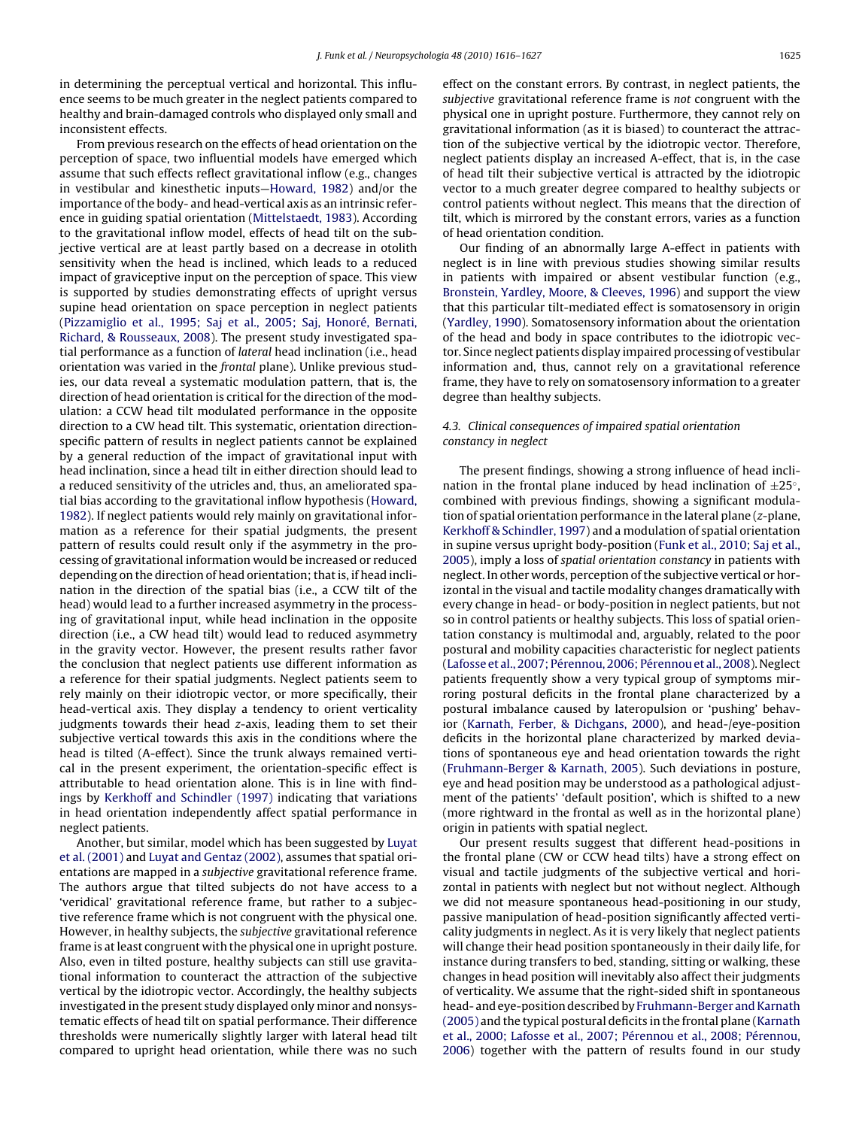in determining the perceptual vertical and horizontal. This influence seems to be much greater in the neglect patients compared to healthy and brain-damaged controls who displayed only small and inconsistent effects.

From previous research on the effects of head orientation on the perception of space, two influential models have emerged which assume that such effects reflect gravitational inflow (e.g., changes in vestibular and kinesthetic inputs—[Howard, 1982\)](#page-10-0) and/or the importance of the body- and head-vertical axis as an intrinsic reference in guiding spatial orientation ([Mittelstaedt, 1983\).](#page-10-0) According to the gravitational inflow model, effects of head tilt on the subjective vertical are at least partly based on a decrease in otolith sensitivity when the head is inclined, which leads to a reduced impact of graviceptive input on the perception of space. This view is supported by studies demonstrating effects of upright versus supine head orientation on space perception in neglect patients ([Pizzamiglio et al., 1995; Saj et al., 2005; Saj, Honoré, Bernati,](#page-11-0) [Richard, & Rousseaux, 2008\).](#page-11-0) The present study investigated spatial performance as a function of lateral head inclination (i.e., head orientation was varied in the frontal plane). Unlike previous studies, our data reveal a systematic modulation pattern, that is, the direction of head orientation is critical for the direction of the modulation: a CCW head tilt modulated performance in the opposite direction to a CW head tilt. This systematic, orientation directionspecific pattern of results in neglect patients cannot be explained by a general reduction of the impact of gravitational input with head inclination, since a head tilt in either direction should lead to a reduced sensitivity of the utricles and, thus, an ameliorated spatial bias according to the gravitational inflow hypothesis ([Howard,](#page-10-0) [1982\).](#page-10-0) If neglect patients would rely mainly on gravitational information as a reference for their spatial judgments, the present pattern of results could result only if the asymmetry in the processing of gravitational information would be increased or reduced depending on the direction of head orientation; that is, if head inclination in the direction of the spatial bias (i.e., a CCW tilt of the head) would lead to a further increased asymmetry in the processing of gravitational input, while head inclination in the opposite direction (i.e., a CW head tilt) would lead to reduced asymmetry in the gravity vector. However, the present results rather favor the conclusion that neglect patients use different information as a reference for their spatial judgments. Neglect patients seem to rely mainly on their idiotropic vector, or more specifically, their head-vertical axis. They display a tendency to orient verticality judgments towards their head z-axis, leading them to set their subjective vertical towards this axis in the conditions where the head is tilted (A-effect). Since the trunk always remained vertical in the present experiment, the orientation-specific effect is attributable to head orientation alone. This is in line with findings by [Kerkhoff and Schindler \(1997\)](#page-10-0) indicating that variations in head orientation independently affect spatial performance in neglect patients.

Another, but similar, model which has been suggested by [Luyat](#page-10-0) [et al. \(2001\)](#page-10-0) and [Luyat and Gentaz \(2002\), a](#page-10-0)ssumes that spatial orientations are mapped in a subjective gravitational reference frame. The authors argue that tilted subjects do not have access to a 'veridical' gravitational reference frame, but rather to a subjective reference frame which is not congruent with the physical one. However, in healthy subjects, the subjective gravitational reference frame is at least congruent with the physical one in upright posture. Also, even in tilted posture, healthy subjects can still use gravitational information to counteract the attraction of the subjective vertical by the idiotropic vector. Accordingly, the healthy subjects investigated in the present study displayed only minor and nonsystematic effects of head tilt on spatial performance. Their difference thresholds were numerically slightly larger with lateral head tilt compared to upright head orientation, while there was no such effect on the constant errors. By contrast, in neglect patients, the subjective gravitational reference frame is not congruent with the physical one in upright posture. Furthermore, they cannot rely on gravitational information (as it is biased) to counteract the attraction of the subjective vertical by the idiotropic vector. Therefore, neglect patients display an increased A-effect, that is, in the case of head tilt their subjective vertical is attracted by the idiotropic vector to a much greater degree compared to healthy subjects or control patients without neglect. This means that the direction of tilt, which is mirrored by the constant errors, varies as a function of head orientation condition.

Our finding of an abnormally large A-effect in patients with neglect is in line with previous studies showing similar results in patients with impaired or absent vestibular function (e.g., [Bronstein, Yardley, Moore, & Cleeves, 1996\)](#page-10-0) and support the view that this particular tilt-mediated effect is somatosensory in origin [\(Yardley, 1990\).](#page-11-0) Somatosensory information about the orientation of the head and body in space contributes to the idiotropic vector. Since neglect patients display impaired processing of vestibular information and, thus, cannot rely on a gravitational reference frame, they have to rely on somatosensory information to a greater degree than healthy subjects.

## 4.3. Clinical consequences of impaired spatial orientation constancy in neglect

The present findings, showing a strong influence of head inclination in the frontal plane induced by head inclination of  $\pm 25°$ , combined with previous findings, showing a significant modulation of spatial orientation performance in the lateral plane (z-plane, [Kerkhoff & Schindler, 1997\) a](#page-10-0)nd a modulation of spatial orientation in supine versus upright body-position [\(Funk et al., 2010; Saj et al.,](#page-10-0) [2005\),](#page-10-0) imply a loss of spatial orientation constancy in patients with neglect. In other words, perception of the subjective vertical or horizontal in the visual and tactile modality changes dramatically with every change in head- or body-position in neglect patients, but not so in control patients or healthy subjects. This loss of spatial orientation constancy is multimodal and, arguably, related to the poor postural and mobility capacities characteristic for neglect patients [\(Lafosse et al., 2007; Pérennou, 2006; Pérennou et al., 2008\).](#page-10-0) Neglect patients frequently show a very typical group of symptoms mirroring postural deficits in the frontal plane characterized by a postural imbalance caused by lateropulsion or 'pushing' behavior ([Karnath, Ferber, & Dichgans, 2000\),](#page-10-0) and head-/eye-position deficits in the horizontal plane characterized by marked deviations of spontaneous eye and head orientation towards the right [\(Fruhmann-Berger & Karnath, 2005\).](#page-10-0) Such deviations in posture, eye and head position may be understood as a pathological adjustment of the patients' 'default position', which is shifted to a new (more rightward in the frontal as well as in the horizontal plane) origin in patients with spatial neglect.

Our present results suggest that different head-positions in the frontal plane (CW or CCW head tilts) have a strong effect on visual and tactile judgments of the subjective vertical and horizontal in patients with neglect but not without neglect. Although we did not measure spontaneous head-positioning in our study, passive manipulation of head-position significantly affected verticality judgments in neglect. As it is very likely that neglect patients will change their head position spontaneously in their daily life, for instance during transfers to bed, standing, sitting or walking, these changes in head position will inevitably also affect their judgments of verticality. We assume that the right-sided shift in spontaneous head- and eye-position described by [Fruhmann-Berger and Karnath](#page-10-0) [\(2005\)](#page-10-0) and the typical postural deficits in the frontal plane [\(Karnath](#page-10-0) [et al., 2000; Lafosse et al., 2007; Pérennou et al., 2008; Pérennou,](#page-10-0) [2006\)](#page-10-0) together with the pattern of results found in our study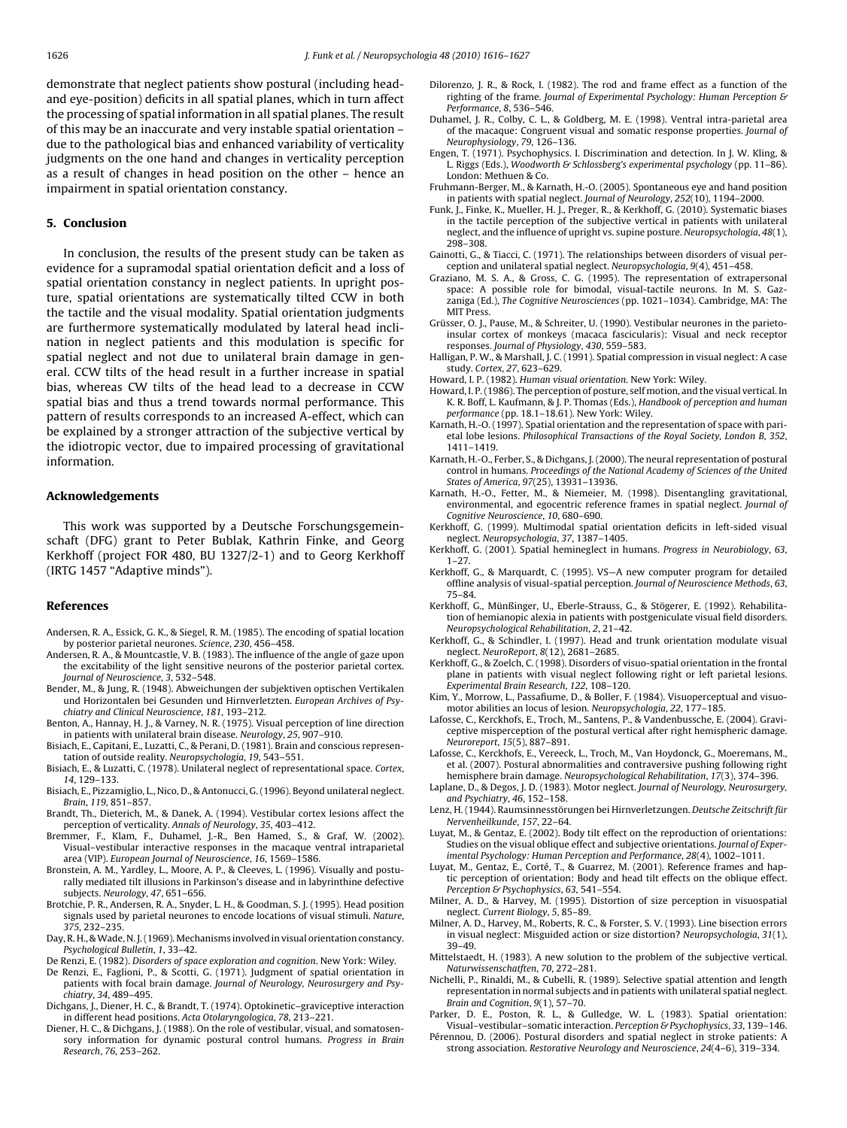<span id="page-10-0"></span>demonstrate that neglect patients show postural (including headand eye-position) deficits in all spatial planes, which in turn affect the processing of spatial information in all spatial planes. The result of this may be an inaccurate and very instable spatial orientation – due to the pathological bias and enhanced variability of verticality judgments on the one hand and changes in verticality perception as a result of changes in head position on the other – hence an impairment in spatial orientation constancy.

#### **5. Conclusion**

In conclusion, the results of the present study can be taken as evidence for a supramodal spatial orientation deficit and a loss of spatial orientation constancy in neglect patients. In upright posture, spatial orientations are systematically tilted CCW in both the tactile and the visual modality. Spatial orientation judgments are furthermore systematically modulated by lateral head inclination in neglect patients and this modulation is specific for spatial neglect and not due to unilateral brain damage in general. CCW tilts of the head result in a further increase in spatial bias, whereas CW tilts of the head lead to a decrease in CCW spatial bias and thus a trend towards normal performance. This pattern of results corresponds to an increased A-effect, which can be explained by a stronger attraction of the subjective vertical by the idiotropic vector, due to impaired processing of gravitational information.

## **Acknowledgements**

This work was supported by a Deutsche Forschungsgemeinschaft (DFG) grant to Peter Bublak, Kathrin Finke, and Georg Kerkhoff (project FOR 480, BU 1327/2-1) and to Georg Kerkhoff (IRTG 1457 "Adaptive minds").

#### **References**

- Andersen, R. A., Essick, G. K., & Siegel, R. M. (1985). The encoding of spatial location by posterior parietal neurones. Science, 230, 456–458.
- Andersen, R. A., & Mountcastle, V. B. (1983). The influence of the angle of gaze upon the excitability of the light sensitive neurons of the posterior parietal cortex. Journal of Neuroscience, 3, 532–548.
- Bender, M., & Jung, R. (1948). Abweichungen der subjektiven optischen Vertikalen und Horizontalen bei Gesunden und Hirnverletzten. European Archives of Psychiatry and Clinical Neuroscience, 181, 193–212.
- Benton, A., Hannay, H. J., & Varney, N. R. (1975). Visual perception of line direction in patients with unilateral brain disease. Neurology, 25, 907–910.
- Bisiach, E., Capitani, E., Luzatti, C., & Perani, D. (1981). Brain and conscious representation of outside reality. Neuropsychologia, 19, 543–551.
- Bisiach, E., & Luzatti, C. (1978). Unilateral neglect of representational space. Cortex, 14, 129–133.
- Bisiach, E., Pizzamiglio, L., Nico, D., & Antonucci, G. (1996). Beyond unilateral neglect. Brain, 119, 851–857.
- Brandt, Th., Dieterich, M., & Danek, A. (1994). Vestibular cortex lesions affect the perception of verticality. Annals of Neurology, 35, 403–412.
- Bremmer, F., Klam, F., Duhamel, J.-R., Ben Hamed, S., & Graf, W. (2002). Visual–vestibular interactive responses in the macaque ventral intraparietal area (VIP). European Journal of Neuroscience, 16, 1569–1586.
- Bronstein, A. M., Yardley, L., Moore, A. P., & Cleeves, L. (1996). Visually and posturally mediated tilt illusions in Parkinson's disease and in labyrinthine defective subjects. Neurology, 47, 651–656.
- Brotchie, P. R., Andersen, R. A., Snyder, L. H., & Goodman, S. J. (1995). Head position signals used by parietal neurones to encode locations of visual stimuli. Nature, 375, 232–235.
- Day, R. H., & Wade, N. J. (1969). Mechanisms involved in visual orientation constancy. Psychological Bulletin, 1, 33–42.
- De Renzi, E. (1982). Disorders of space exploration and cognition. New York: Wiley. De Renzi, E., Faglioni, P., & Scotti, G. (1971). Judgment of spatial orientation in patients with focal brain damage. Journal of Neurology, Neurosurgery and Psy-
- chiatry, 34, 489–495. Dichgans, J., Diener, H. C., & Brandt, T. (1974). Optokinetic–graviceptive interaction
- in different head positions. Acta Otolaryngologica, 78, 213–221. Diener, H. C., & Dichgans, J. (1988). On the role of vestibular, visual, and somatosen-
- sory information for dynamic postural control humans. Progress in Brain Research, 76, 253–262.
- Dilorenzo, J. R., & Rock, I. (1982). The rod and frame effect as a function of the righting of the frame. Journal of Experimental Psychology: Human Perception & Performance, 8, 536–546.
- Duhamel, J. R., Colby, C. L., & Goldberg, M. E. (1998). Ventral intra-parietal area of the macaque: Congruent visual and somatic response properties. Journal of Neurophysiology, 79, 126–136.
- Engen, T. (1971). Psychophysics. I. Discrimination and detection. In J. W. Kling, & L. Riggs (Eds.), Woodworth & Schlossberg's experimental psychology (pp. 11-86). London: Methuen & Co.
- Fruhmann-Berger, M., & Karnath, H.-O. (2005). Spontaneous eye and hand position in patients with spatial neglect. Journal of Neurology, 252(10), 1194–2000.
- Funk, J., Finke, K., Mueller, H. J., Preger, R., & Kerkhoff, G. (2010). Systematic biases in the tactile perception of the subjective vertical in patients with unilateral neglect, and the influence of upright vs. supine posture. Neuropsychologia, 48(1), 298–308.
- Gainotti, G., & Tiacci, C. (1971). The relationships between disorders of visual perception and unilateral spatial neglect. Neuropsychologia, 9(4), 451–458.
- Graziano, M. S. A., & Gross, C. G. (1995). The representation of extrapersonal space: A possible role for bimodal, visual-tactile neurons. In M. S. Gazzaniga (Ed.), The Cognitive Neurosciences (pp. 1021–1034). Cambridge, MA: The **MIT** Press.
- Grüsser, O. J., Pause, M., & Schreiter, U. (1990). Vestibular neurones in the parietoinsular cortex of monkeys (macaca fascicularis): Visual and neck receptor responses. Journal of Physiology, 430, 559–583.
- Halligan, P. W., & Marshall, J. C. (1991). Spatial compression in visual neglect: A case study. Cortex, 27, 623–629.
- Howard, I. P. (1982). Human visual orientation. New York: Wiley.
- Howard, I. P. (1986). The perception of posture, self motion, and the visual vertical. In K. R. Boff, L. Kaufmann, & J. P. Thomas (Eds.), Handbook of perception and human performance (pp. 18.1–18.61). New York: Wiley.
- Karnath, H.-O. (1997). Spatial orientation and the representation of space with parietal lobe lesions. Philosophical Transactions of the Royal Society, London B, 352, 1411–1419.
- Karnath, H.-O., Ferber, S., & Dichgans, J. (2000). The neural representation of postural control in humans. Proceedings of the National Academy of Sciences of the United States of America, 97(25), 13931–13936.
- Karnath, H.-O., Fetter, M., & Niemeier, M. (1998). Disentangling gravitational, environmental, and egocentric reference frames in spatial neglect. Journal of Cognitive Neuroscience, 10, 680–690.
- Kerkhoff, G. (1999). Multimodal spatial orientation deficits in left-sided visual neglect. Neuropsychologia, 37, 1387–1405.
- Kerkhoff, G. (2001). Spatial hemineglect in humans. Progress in Neurobiology, 63, 1–27.
- Kerkhoff, G., & Marquardt, C. (1995). VS—A new computer program for detailed offline analysis of visual-spatial perception. Journal of Neuroscience Methods, 63, 75–84.
- Kerkhoff, G., Münßinger, U., Eberle-Strauss, G., & Stögerer, E. (1992). Rehabilitation of hemianopic alexia in patients with postgeniculate visual field disorders. Neuropsychological Rehabilitation, 2, 21–42.
- Kerkhoff, G., & Schindler, I. (1997). Head and trunk orientation modulate visual neglect. NeuroReport, 8(12), 2681–2685.
- Kerkhoff, G., & Zoelch, C. (1998). Disorders of visuo-spatial orientation in the frontal plane in patients with visual neglect following right or left parietal lesions. Experimental Brain Research, 122, 108–120.
- Kim, Y., Morrow, L., Passafiume, D., & Boller, F. (1984). Visuoperceptual and visuomotor abilities an locus of lesion. Neuropsychologia, 22, 177–185.
- Lafosse, C., Kerckhofs, E., Troch, M., Santens, P., & Vandenbussche, E. (2004). Graviceptive misperception of the postural vertical after right hemispheric damage. Neuroreport, 15(5), 887–891.
- Lafosse, C., Kerckhofs, E., Vereeck, L., Troch, M., Van Hoydonck, G., Moeremans, M., et al. (2007). Postural abnormalities and contraversive pushing following right hemisphere brain damage. Neuropsychological Rehabilitation, 17(3), 374–396.
- Laplane, D., & Degos, J. D. (1983). Motor neglect. Journal of Neurology, Neurosurgery, and Psychiatry, 46, 152–158.
- Lenz, H. (1944). Raumsinnesstörungen bei Hirnverletzungen. Deutsche Zeitschrift für Nervenheilkunde, 157, 22–64.
- Luyat, M., & Gentaz, E. (2002). Body tilt effect on the reproduction of orientations: Studies on the visual oblique effect and subjective orientations. Journal of Experimental Psychology: Human Perception and Performance, 28(4), 1002–1011.
- Luyat, M., Gentaz, E., Corté, T., & Guarrez, M. (2001). Reference frames and haptic perception of orientation: Body and head tilt effects on the oblique effect. Perception & Psychophysics, 63, 541–554.
- Milner, A. D., & Harvey, M. (1995). Distortion of size perception in visuospatial neglect. Current Biology, 5, 85–89.
- Milner, A. D., Harvey, M., Roberts, R. C., & Forster, S. V. (1993). Line bisection errors in visual neglect: Misguided action or size distortion? Neuropsychologia, 31(1), 39–49.
- Mittelstaedt, H. (1983). A new solution to the problem of the subjective vertical. Naturwissenschatften, 70, 272–281.
- Nichelli, P., Rinaldi, M., & Cubelli, R. (1989). Selective spatial attention and length representation in normal subjects and in patients with unilateral spatial neglect. Brain and Cognition, 9(1), 57–70.
- Parker, D. E., Poston, R. L., & Gulledge, W. L. (1983). Spatial orientation: Visual–vestibular–somatic interaction. Perception & Psychophysics, 33, 139–146.
- Pérennou, D. (2006). Postural disorders and spatial neglect in stroke patients: A strong association. Restorative Neurology and Neuroscience, 24(4–6), 319–334.